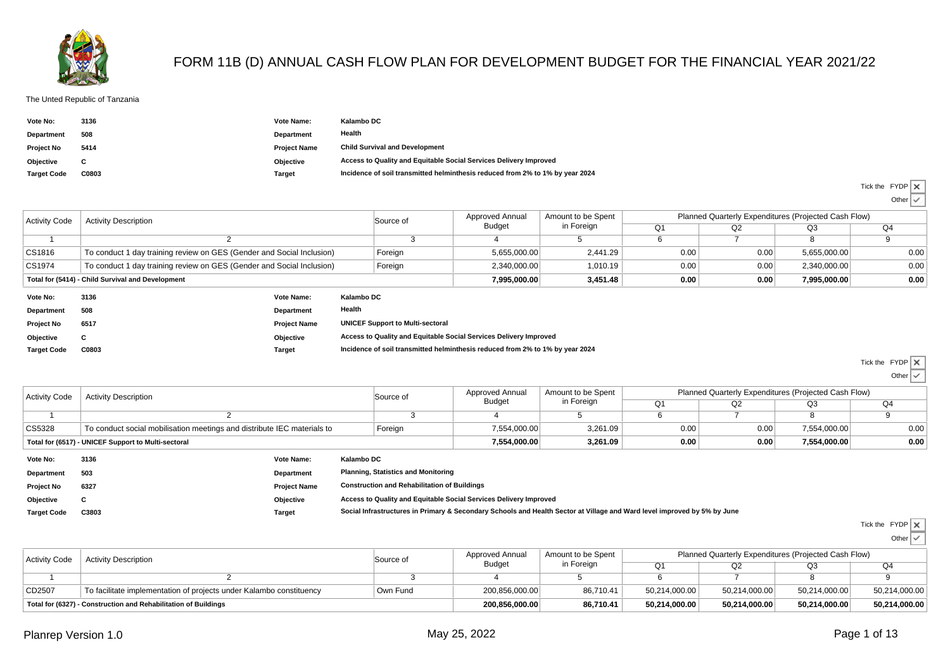

## FORM 11B (D) ANNUAL CASH FLOW PLAN FOR DEVELOPMENT BUDGET FOR THE FINANCIAL YEAR 2021/22

## The Unted Republic of Tanzania

| Vote No:           | 3136  | Vote Name:          | Kalambo DC                                                                    |
|--------------------|-------|---------------------|-------------------------------------------------------------------------------|
| <b>Department</b>  | 508   | Department          | Health                                                                        |
| <b>Project No</b>  | 5414  | <b>Project Name</b> | <b>Child Survival and Development</b>                                         |
| Objective          |       | Objective           | Access to Quality and Equitable Social Services Delivery Improved             |
| <b>Target Code</b> | C0803 | Target              | Incidence of soil transmitted helminthesis reduced from 2% to 1% by year 2024 |

|                      |                                                                                  |                     |            |                                                                               |                                                                   |                    |                |              |                                                      | Other $\vee$ |
|----------------------|----------------------------------------------------------------------------------|---------------------|------------|-------------------------------------------------------------------------------|-------------------------------------------------------------------|--------------------|----------------|--------------|------------------------------------------------------|--------------|
| <b>Activity Code</b> | <b>Activity Description</b>                                                      |                     |            | Source of                                                                     | <b>Approved Annual</b>                                            | Amount to be Spent |                |              | Planned Quarterly Expenditures (Projected Cash Flow) |              |
|                      |                                                                                  |                     |            |                                                                               | Budget                                                            | in Foreign         | O <sub>1</sub> | Q2           | O <sub>3</sub>                                       | Q4           |
|                      |                                                                                  |                     |            |                                                                               |                                                                   | .5                 | O              |              |                                                      |              |
| CS1816               | To conduct 1 day training review on GES (Gender and Social Inclusion)            |                     |            | Foreign                                                                       | 5,655,000.00                                                      | 2,441.29           | 0.00           | 0.00         | 5,655,000.00                                         | 0.00         |
| CS1974               | To conduct 1 day training review on GES (Gender and Social Inclusion)<br>Foreign |                     |            |                                                                               | 2.340.000.00                                                      | 1,010.19           | 0.00           | 0.00         | 2,340,000.00                                         | 0.00         |
|                      | Total for (5414) - Child Survival and Development                                |                     |            | 7.995.000.00                                                                  | 3,451.48                                                          | 0.00               | 0.00           | 7,995,000.00 | 0.00                                                 |              |
| Vote No:             | 3136                                                                             | Vote Name:          | Kalambo DC |                                                                               |                                                                   |                    |                |              |                                                      |              |
| Department           | 508                                                                              | Department          | Health     |                                                                               |                                                                   |                    |                |              |                                                      |              |
| <b>Project No</b>    | 6517                                                                             | <b>Project Name</b> |            | <b>UNICEF Support to Multi-sectoral</b>                                       |                                                                   |                    |                |              |                                                      |              |
| Objective            | C                                                                                | Objective           |            |                                                                               | Access to Quality and Equitable Social Services Delivery Improved |                    |                |              |                                                      |              |
| <b>Target Code</b>   | C0803                                                                            | <b>Target</b>       |            | Incidence of soil transmitted helminthesis reduced from 2% to 1% by year 2024 |                                                                   |                    |                |              |                                                      |              |

**C0803 Target Incidence of soil transmitted helminthesis reduced from 2% to 1% by year 2024**

 $\overline{\mathbf{x}}$ Tick the FYDP

Tick the FYDP

Other

| <b>Activity Code</b>                                | <b>Activity Description</b>                                                        |                     |                                                                   | Source of                                                                                                                | Approved Annual | Amount to be Spent | Planned Quarterly Expenditures (Projected Cash Flow) |                |      |                |  |
|-----------------------------------------------------|------------------------------------------------------------------------------------|---------------------|-------------------------------------------------------------------|--------------------------------------------------------------------------------------------------------------------------|-----------------|--------------------|------------------------------------------------------|----------------|------|----------------|--|
|                                                     |                                                                                    |                     |                                                                   |                                                                                                                          | Budget          | in Foreign         | Q <sub>1</sub>                                       | O <sub>2</sub> | Q3   | Q <sub>4</sub> |  |
|                                                     |                                                                                    |                     |                                                                   |                                                                                                                          |                 |                    |                                                      |                |      |                |  |
| CS5328                                              | Foreign<br>To conduct social mobilisation meetings and distribute IEC materials to |                     |                                                                   | 7,554,000.00                                                                                                             | 3,261.09        | 0.00               | 0.00                                                 | 7,554,000.00   | 0.00 |                |  |
| Total for (6517) - UNICEF Support to Multi-sectoral |                                                                                    |                     |                                                                   | 7,554,000.00                                                                                                             | 3.261.09        | 0.00               | 0.00                                                 | 7,554,000.00   | 0.00 |                |  |
| Vote No:                                            | 3136                                                                               | Vote Name:          | Kalambo DC                                                        |                                                                                                                          |                 |                    |                                                      |                |      |                |  |
| Department                                          | 503                                                                                | Department          |                                                                   | <b>Planning, Statistics and Monitoring</b>                                                                               |                 |                    |                                                      |                |      |                |  |
| <b>Project No</b>                                   | 6327                                                                               | <b>Project Name</b> |                                                                   | <b>Construction and Rehabilitation of Buildings</b>                                                                      |                 |                    |                                                      |                |      |                |  |
| Objective                                           | C                                                                                  | Objective           | Access to Quality and Equitable Social Services Delivery Improved |                                                                                                                          |                 |                    |                                                      |                |      |                |  |
| <b>Target Code</b>                                  | C3803                                                                              | <b>Target</b>       |                                                                   | Social Infrastructures in Primary & Secondary Schools and Health Sector at Village and Ward level improved by 5% by June |                 |                    |                                                      |                |      |                |  |

| Tick the FYDP |  |
|---------------|--|

| <b>Activity Code</b>                                            | <b>Activity Description</b>                                         | Source of | Approved Annual<br><b>Budget</b> | Amount to be Spent<br>in Foreign | Planned Quarterly Expenditures (Projected Cash Flow) |               |               |               |  |
|-----------------------------------------------------------------|---------------------------------------------------------------------|-----------|----------------------------------|----------------------------------|------------------------------------------------------|---------------|---------------|---------------|--|
|                                                                 |                                                                     |           |                                  |                                  | Ω1                                                   |               | Q3            | Q4            |  |
|                                                                 |                                                                     |           |                                  |                                  |                                                      |               |               |               |  |
| CD2507                                                          | To facilitate implementation of projects under Kalambo constituency | Own Fund  | 200,856,000.00                   | 86,710.41                        | 50,214,000.00                                        | 50,214,000.00 | 50,214,000.00 | 50,214,000.00 |  |
| Total for (6327) - Construction and Rehabilitation of Buildings |                                                                     |           | 200,856,000.00                   | 86.710.41                        | 50,214,000.00                                        | 50.214.000.00 | 50.214.000.00 | 50,214,000.00 |  |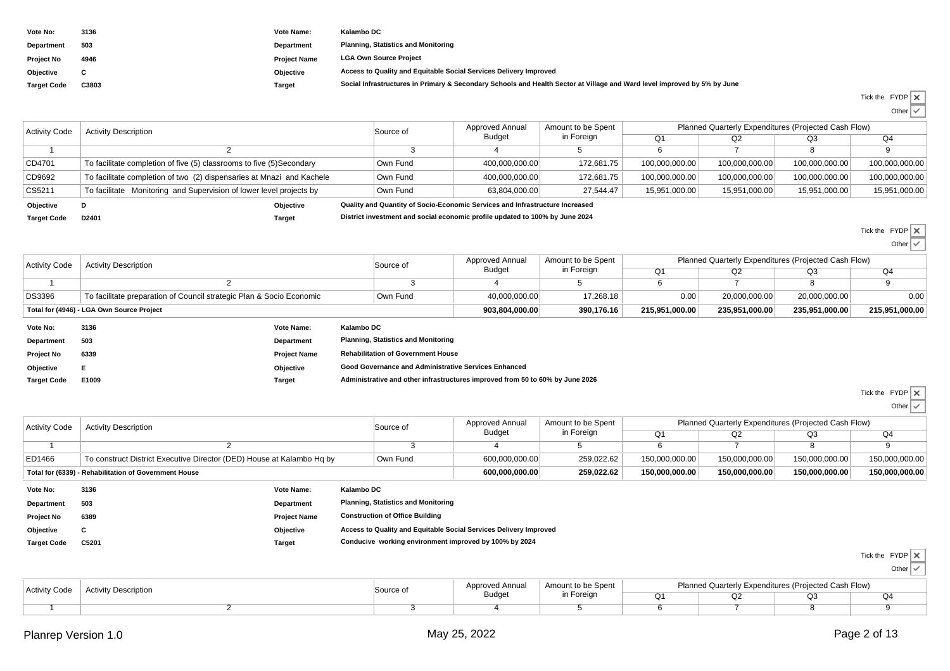| Vote No:           | 3136  | Vote Name:          | Kalambo DC                                                                                                               |
|--------------------|-------|---------------------|--------------------------------------------------------------------------------------------------------------------------|
| Department         | 503   | Department          | <b>Planning, Statistics and Monitoring</b>                                                                               |
| <b>Project No</b>  | 4946  | <b>Project Name</b> | <b>LGA Own Source Project</b>                                                                                            |
| Objective          |       | Objective           | Access to Quality and Equitable Social Services Delivery Improved                                                        |
| <b>Target Code</b> | C3803 | Target              | Social Infrastructures in Primary & Secondary Schools and Health Sector at Village and Ward level improved by 5% by June |

| Tick the FYDP X |         |  |
|-----------------|---------|--|
|                 | Other I |  |

| <b>Activity Code</b> | <b>Activity Description</b>                                           | Source of | <b>Approved Annual</b>                                                       | Amount to be Spent | Planned Quarterly Expenditures (Projected Cash Flow) |                |                |                |  |  |
|----------------------|-----------------------------------------------------------------------|-----------|------------------------------------------------------------------------------|--------------------|------------------------------------------------------|----------------|----------------|----------------|--|--|
|                      |                                                                       |           | Budget                                                                       | in Foreign         |                                                      | Q2             | Q3             | Q <sub>4</sub> |  |  |
|                      |                                                                       |           |                                                                              |                    |                                                      |                |                |                |  |  |
| CD4701               | To facilitate completion of five (5) classrooms to five (5)Secondary  | Own Fund  | 400.000.000.00                                                               | 172.681.75         | 100,000,000.00                                       | 100.000.000.00 | 100.000.000.00 | 100,000,000.00 |  |  |
| CD9692               | To facilitate completion of two (2) dispensaries at Mnazi and Kachele | Own Fund  | 400,000,000.00                                                               | 172,681.75         | 100,000,000.00                                       | 100,000,000.00 | 100,000,000.00 | 100,000,000.00 |  |  |
| CS5211               | To facilitate Monitoring and Supervision of lower level projects by   | Own Fund  | 63,804,000.00                                                                | 27.544.47          | 15,951,000.00                                        | 15,951,000.00  | 15,951,000.00  | 15,951,000.00  |  |  |
| Objective            | Objective                                                             |           | Quality and Quantity of Socio-Economic Services and Infrastructure Increased |                    |                                                      |                |                |                |  |  |
| <b>Target Code</b>   | D2401<br><b>Target</b>                                                |           | District investment and social economic profile updated to 100% by June 2024 |                    |                                                      |                |                |                |  |  |

| <b>Activity Code</b> | <b>Activity Description</b>                                          |                     | Source of  | Approved Annual                            | Amount to be Spent | Planned Quarterly Expenditures (Projected Cash Flow) |                |                |                |                |
|----------------------|----------------------------------------------------------------------|---------------------|------------|--------------------------------------------|--------------------|------------------------------------------------------|----------------|----------------|----------------|----------------|
|                      |                                                                      |                     |            |                                            | Budget             | in Foreign                                           | Q <sub>1</sub> | Q2             | Q <sub>3</sub> | Q4             |
|                      |                                                                      |                     |            |                                            |                    |                                                      |                |                |                |                |
| <b>DS3396</b>        | To facilitate preparation of Council strategic Plan & Socio Economic |                     | Own Fund   | 40,000,000.00                              | 17.268.18          | 0.00                                                 | 20,000,000.00  | 20,000,000.00  | 0.00           |                |
|                      | Total for (4946) - LGA Own Source Project                            |                     |            |                                            | 903,804,000.00     | 390,176.16                                           | 215,951,000.00 | 235,951,000.00 | 235,951,000.00 | 215,951,000.00 |
| Vote No:             | 3136                                                                 | <b>Vote Name:</b>   | Kalambo DC |                                            |                    |                                                      |                |                |                |                |
| Department           | 503                                                                  | Department          |            | <b>Planning, Statistics and Monitoring</b> |                    |                                                      |                |                |                |                |
| <b>Project No</b>    | 6339                                                                 | <b>Project Name</b> |            | <b>Rehabilitation of Government House</b>  |                    |                                                      |                |                |                |                |

**Objective <sup>E</sup> Objective Good Governance and Administrative Services Enhanced Target CodeE1009 Target Administrative and other infrastructures improved from 50 to 60% by June 2026**

Tick the FYDP

Tick the FYDPOther

 $\checkmark$ 

 Other $\checkmark$ 

| <b>Activity Code</b>                                  | <b>Activity Description</b>                                           |                     | Source of                                                         | Approved Annual                            | Amount to be Spent                                     | Planned Quarterly Expenditures (Projected Cash Flow) |                |                |                |                 |
|-------------------------------------------------------|-----------------------------------------------------------------------|---------------------|-------------------------------------------------------------------|--------------------------------------------|--------------------------------------------------------|------------------------------------------------------|----------------|----------------|----------------|-----------------|
|                                                       |                                                                       |                     |                                                                   |                                            | Budget                                                 | in Foreign                                           | Q1             | Q2             | Q3             | Q <sub>4</sub>  |
|                                                       |                                                                       |                     |                                                                   |                                            |                                                        |                                                      |                |                |                |                 |
| ED1466                                                | To construct District Executive Director (DED) House at Kalambo Hq by |                     |                                                                   | Own Fund                                   | 600,000,000.00                                         | 259,022.62                                           | 150,000,000.00 | 150,000,000.00 | 150,000,000.00 | 150,000,000.00  |
| Total for (6339) - Rehabilitation of Government House |                                                                       |                     |                                                                   | 600.000.000.00                             | 259,022.62                                             | 150.000.000.00                                       | 150,000,000.00 | 150,000,000.00 | 150,000,000.00 |                 |
| Vote No:                                              | 3136                                                                  | <b>Vote Name:</b>   | Kalambo DC                                                        |                                            |                                                        |                                                      |                |                |                |                 |
| <b>Department</b>                                     | 503                                                                   | Department          |                                                                   | <b>Planning, Statistics and Monitoring</b> |                                                        |                                                      |                |                |                |                 |
| Project No                                            | 6389                                                                  | <b>Project Name</b> |                                                                   | <b>Construction of Office Building</b>     |                                                        |                                                      |                |                |                |                 |
| Objective                                             | C                                                                     | Objective           | Access to Quality and Equitable Social Services Delivery Improved |                                            |                                                        |                                                      |                |                |                |                 |
| <b>Target Code</b>                                    | C5201                                                                 | Target              |                                                                   |                                            | Conducive working environment improved by 100% by 2024 |                                                      |                |                |                |                 |
|                                                       |                                                                       |                     |                                                                   |                                            |                                                        |                                                      |                |                |                | marchant monday |

| Tick the FYDP |  |
|---------------|--|
|               |  |

| <b>Activity Code</b> | <b>Activity Description</b> | Source of | Approved Annual | Amount to be Spent<br>ר Foreian | Planned Quarterly Expenditures (Projected Cash Flow) |  |    |  |
|----------------------|-----------------------------|-----------|-----------------|---------------------------------|------------------------------------------------------|--|----|--|
|                      |                             |           | Budget          |                                 |                                                      |  | نى |  |
|                      |                             |           |                 |                                 |                                                      |  |    |  |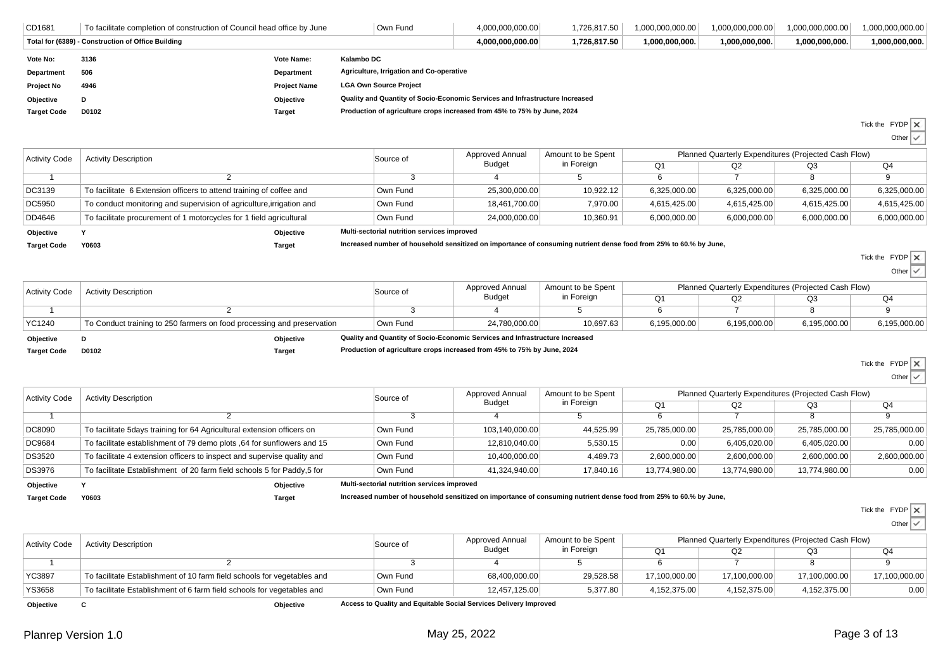| CD1681             | To facilitate completion of construction of Council head office by June |                     | Own Fund                                                                     | 4,000,000,000.00 | 1,726,817.50 | 1,000,000,000.00 | 1,000,000,000.00 | 1,000,000,000.00 | 000.000,000.000.1 |
|--------------------|-------------------------------------------------------------------------|---------------------|------------------------------------------------------------------------------|------------------|--------------|------------------|------------------|------------------|-------------------|
|                    | Total for (6389) - Construction of Office Building                      |                     |                                                                              | 4.000.000.000.00 | 1,726,817.50 | 1,000,000,000.   | 1,000,000,000.   | 1,000,000,000.   | 1,000,000,000.    |
| Vote No:           | 3136                                                                    | <b>Vote Name:</b>   | Kalambo DC                                                                   |                  |              |                  |                  |                  |                   |
| Department         | 506                                                                     | <b>Department</b>   | Agriculture, Irrigation and Co-operative                                     |                  |              |                  |                  |                  |                   |
| <b>Project No</b>  | 4946                                                                    | <b>Project Name</b> | <b>LGA Own Source Project</b>                                                |                  |              |                  |                  |                  |                   |
| Objective          | D                                                                       | Objective           | Quality and Quantity of Socio-Economic Services and Infrastructure Increased |                  |              |                  |                  |                  |                   |
| <b>Target Code</b> | D0102                                                                   | Target              | Production of agriculture crops increased from 45% to 75% by June, 2024      |                  |              |                  |                  |                  |                   |
|                    |                                                                         |                     |                                                                              |                  |              |                  |                  |                  |                   |

Tick the FYDP

Otherw

| <b>Activity Code</b> | <b>Activity Description</b>                                          | Source of                                                                                                         | Approved Annual | Amount to be Spent | Planned Quarterly Expenditures (Projected Cash Flow) |              |              |              |  |
|----------------------|----------------------------------------------------------------------|-------------------------------------------------------------------------------------------------------------------|-----------------|--------------------|------------------------------------------------------|--------------|--------------|--------------|--|
|                      |                                                                      |                                                                                                                   | Budget          | in Foreign         | O1                                                   | Q2           | Q3           | Q4           |  |
|                      |                                                                      |                                                                                                                   |                 |                    |                                                      |              |              | 9.           |  |
| DC3139               | To facilitate 6 Extension officers to attend training of coffee and  | Own Fund                                                                                                          | 25,300,000.00   | 10,922.12          | 6,325,000.00                                         | 6,325,000.00 | 6,325,000.00 | 6,325,000.00 |  |
| <b>DC5950</b>        | To conduct monitoring and supervision of agriculture, irrigation and | Own Fund                                                                                                          | 18,461,700.00   | 7,970.00           | 4,615,425.00                                         | 4,615,425.00 | 4,615,425.00 | 4,615,425.00 |  |
| DD4646               | To facilitate procurement of 1 motorcycles for 1 field agricultural  | Own Fund                                                                                                          | 24.000.000.00   | 10,360.91          | 6,000,000.00                                         | 6,000,000.00 | 6,000,000.00 | 6,000,000.00 |  |
| Objective            | Objective                                                            | Multi-sectorial nutrition services improved                                                                       |                 |                    |                                                      |              |              |              |  |
| <b>Target Code</b>   | Y0603<br><b>Target</b>                                               | Increased number of household sensitized on importance of consuming nutrient dense food from 25% to 60.% by June, |                 |                    |                                                      |              |              |              |  |

| <b>Activity Code</b> | <b>Activity Description</b> | Source of                                                              | Approved Annual | Amount to be Spent                                                           | Planned Quarterly Expenditures (Projected Cash Flow) |              |              |              |              |
|----------------------|-----------------------------|------------------------------------------------------------------------|-----------------|------------------------------------------------------------------------------|------------------------------------------------------|--------------|--------------|--------------|--------------|
|                      |                             |                                                                        |                 | Budget                                                                       | in Foreign                                           |              | Q2           | Q3           | Q4           |
|                      |                             |                                                                        |                 |                                                                              |                                                      |              |              |              |              |
|                      | YC1240                      | To Conduct training to 250 farmers on food processing and preservation | Own Fund        | 24.780.000.00                                                                | 10,697.63                                            | 6.195.000.00 | 6,195,000.00 | 6,195,000.00 | 6,195,000.00 |
|                      | Objective                   | Objective                                                              |                 | Quality and Quantity of Socio-Economic Services and Infrastructure Increased |                                                      |              |              |              |              |

**Target Code**

**D0102 Target Production of agriculture crops increased from 45% to 75% by June, 2024**

Tick the FYDP

Tick the FYDPOther

Other

| <b>Activity Code</b> | <b>Activity Description</b>                                             | Source of                                   | Approved Annual | Amount to be Spent | Planned Quarterly Expenditures (Projected Cash Flow) |               |               |               |  |
|----------------------|-------------------------------------------------------------------------|---------------------------------------------|-----------------|--------------------|------------------------------------------------------|---------------|---------------|---------------|--|
|                      |                                                                         |                                             | Budget          | in Foreign         | Q <sub>1</sub>                                       | Q2            | Q3            | Q4            |  |
|                      |                                                                         |                                             |                 |                    |                                                      |               |               |               |  |
| DC8090               | To facilitate 5days training for 64 Agricultural extension officers on  | Own Fund                                    | 103,140,000.00  | 44,525.99          | 25,785,000.00                                        | 25,785,000.00 | 25,785,000.00 | 25,785,000.00 |  |
| DC9684               | To facilitate establishment of 79 demo plots ,64 for sunflowers and 15  | Own Fund                                    | 12,810,040.00   | 5.530.15           | 0.00                                                 | 6,405,020.00  | 6,405,020.00  | 0.00          |  |
| <b>DS3520</b>        | To facilitate 4 extension officers to inspect and supervise quality and | Own Fund                                    | 10,400,000.00   | 4,489.73           | 2,600,000.00                                         | 2,600,000.00  | 2,600,000.00  | 2,600,000.00  |  |
| <b>DS3976</b>        | To facilitate Establishment of 20 farm field schools 5 for Paddy,5 for  | Own Fund                                    | 41.324.940.00   | 17.840.16          | 13,774,980.00                                        | 13.774.980.00 | 13,774,980.00 | 0.00          |  |
| Objective            | Objective                                                               | Multi-sectorial nutrition services improved |                 |                    |                                                      |               |               |               |  |

**Target Code**

**Y0603 Target Increased number of household sensitized on importance of consuming nutrient dense food from 25% to 60.% by June,**

Tick the FYDP

Othe

| <b>Activity Code</b> | <b>Activity Description</b>                                             | Source of | Approved Annual | Amount to be Spent |               | Planned Quarterly Expenditures (Projected Cash Flow) |               |               |  |  |
|----------------------|-------------------------------------------------------------------------|-----------|-----------------|--------------------|---------------|------------------------------------------------------|---------------|---------------|--|--|
|                      |                                                                         |           | <b>Budget</b>   | in Foreign         | Q1            | Q2                                                   | Q3            | Q4            |  |  |
|                      |                                                                         |           |                 |                    |               |                                                      |               |               |  |  |
| YC3897               | To facilitate Establishment of 10 farm field schools for vegetables and | Own Fund  | 68,400,000.00   | 29,528.58          | 17,100,000.00 | 17,100,000.00                                        | 17,100,000.00 | 17,100,000.00 |  |  |
| <b>YS3658</b>        | To facilitate Establishment of 6 farm field schools for vegetables and  | Own Fund  | 12,457,125.00   | 5,377.80           | 4,152,375.00  | 4,152,375.00                                         | 4,152,375.00  | 0.00          |  |  |

**Objective**

**<sup>C</sup>**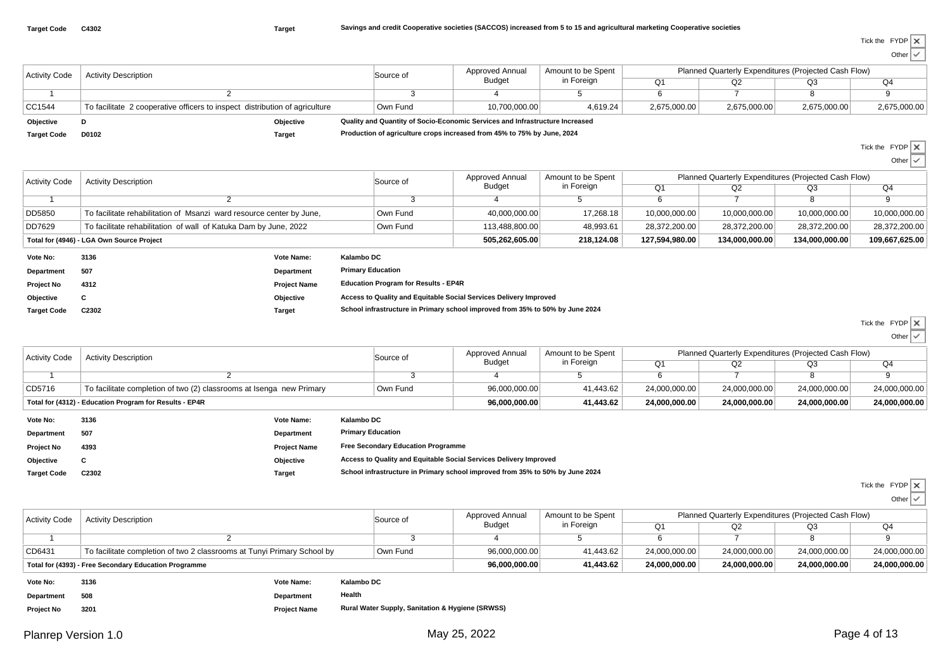Other $\checkmark$ 

| <b>Activity Code</b> | <b>Activity Description</b>                                                 |               |                                                                              | Source of | Approved Annual | Amount to be Spent<br>in Foreign | Planned Quarterly Expenditures (Projected Cash Flow) |              |              |              |  |
|----------------------|-----------------------------------------------------------------------------|---------------|------------------------------------------------------------------------------|-----------|-----------------|----------------------------------|------------------------------------------------------|--------------|--------------|--------------|--|
|                      |                                                                             |               |                                                                              |           | <b>Budget</b>   |                                  | Q1                                                   | Q2           | Q3           | Q4           |  |
|                      |                                                                             |               |                                                                              |           |                 |                                  |                                                      |              |              |              |  |
| CC1544               | To facilitate 2 cooperative officers to inspect distribution of agriculture |               |                                                                              | Own Fund  | 10,700,000.00   | 4,619.24                         | 2,675,000.00                                         | 2,675,000.00 | 2,675,000.00 | 2,675,000.00 |  |
| Objective            |                                                                             | Objective     | Quality and Quantity of Socio-Economic Services and Infrastructure Increased |           |                 |                                  |                                                      |              |              |              |  |
| <b>Target Code</b>   | D0102                                                                       | <b>Target</b> | Production of agriculture crops increased from 45% to 75% by June, 2024      |           |                 |                                  |                                                      |              |              |              |  |

Tick the FYDP

| <b>Activity Code</b> | <b>Activity Description</b>                                          |                     | Source of                                                                     | Approved Annual | Amount to be Spent<br>in Foreign | Planned Quarterly Expenditures (Projected Cash Flow) |                |                |                |  |
|----------------------|----------------------------------------------------------------------|---------------------|-------------------------------------------------------------------------------|-----------------|----------------------------------|------------------------------------------------------|----------------|----------------|----------------|--|
|                      |                                                                      |                     |                                                                               | Budget          |                                  | Q <sub>1</sub>                                       | Q2             | Q3             | Q <sub>4</sub> |  |
|                      |                                                                      |                     |                                                                               |                 |                                  |                                                      |                | 8              |                |  |
| DD5850               | To facilitate rehabilitation of Msanzi ward resource center by June, |                     | Own Fund                                                                      | 40.000.000.00   | 17,268.18                        | 10,000,000.00                                        | 10,000,000.00  | 10,000,000.00  | 10,000,000.00  |  |
| DD7629               | To facilitate rehabilitation of wall of Katuka Dam by June, 2022     |                     | Own Fund                                                                      | 113.488.800.00  | 48,993.61                        | 28.372.200.00                                        | 28.372.200.00  | 28,372,200.00  | 28,372,200.00  |  |
|                      | Total for (4946) - LGA Own Source Project                            |                     |                                                                               | 505,262,605.00  | 218,124.08                       | 127,594,980.00                                       | 134,000,000.00 | 134,000,000.00 | 109,667,625.00 |  |
| Vote No:             | 3136                                                                 | Vote Name:          | Kalambo DC                                                                    |                 |                                  |                                                      |                |                |                |  |
| Department           | 507                                                                  | Department          | <b>Primary Education</b>                                                      |                 |                                  |                                                      |                |                |                |  |
| <b>Project No</b>    | 4312                                                                 | <b>Project Name</b> | <b>Education Program for Results - EP4R</b>                                   |                 |                                  |                                                      |                |                |                |  |
| Objective            | u                                                                    | Objective           | Access to Quality and Equitable Social Services Delivery Improved             |                 |                                  |                                                      |                |                |                |  |
| <b>Target Code</b>   | C2302                                                                | Target              | School infrastructure in Primary school improved from 35% to 50% by June 2024 |                 |                                  |                                                      |                |                |                |  |

Tick the FYDP

Other  $\vert \checkmark$ 

| <b>Activity Code</b> | <b>Activity Description</b>                                          |                   | Source of  | Approved Annual | Amount to be Spent<br>in Foreign | Planned Quarterly Expenditures (Projected Cash Flow) |               |               |               |  |
|----------------------|----------------------------------------------------------------------|-------------------|------------|-----------------|----------------------------------|------------------------------------------------------|---------------|---------------|---------------|--|
|                      |                                                                      |                   |            | <b>Budget</b>   |                                  | O1                                                   | Q2            | Q3            | Q4            |  |
|                      |                                                                      |                   |            |                 |                                  |                                                      |               |               |               |  |
| CD5716               | To facilitate completion of two (2) classrooms at Isenga new Primary |                   | Own Fund   | 96,000,000.00   | 41,443.62                        | 24.000.000.00                                        | 24.000.000.00 | 24.000.000.00 | 24,000,000.00 |  |
|                      | Total for (4312) - Education Program for Results - EP4R              |                   |            | 96,000,000.00   | 41,443.62                        | 24.000.000.00                                        | 24.000.000.00 | 24.000.000.00 | 24,000,000.00 |  |
| Vote No:             | 3136                                                                 | <b>Vote Name:</b> | Kalambo DC |                 |                                  |                                                      |               |               |               |  |

| <b>Department</b>  | 507   | Department          | <b>Primary Education</b>                                                      |
|--------------------|-------|---------------------|-------------------------------------------------------------------------------|
| <b>Project No</b>  | 4393  | <b>Project Name</b> | <b>Free Secondary Education Programme</b>                                     |
| Objective          | С     | Objective           | Access to Quality and Equitable Social Services Delivery Improved             |
| <b>Target Code</b> | C2302 | Target              | School infrastructure in Primary school improved from 35% to 50% by June 2024 |

Tick the FYDP

Other

| <b>Activity Code</b> | <b>Activity Description</b>                                             | Source of | Approved Annual | Amount to be Spent<br>in Foreign | Planned Quarterly Expenditures (Projected Cash Flow) |               |               |               |  |
|----------------------|-------------------------------------------------------------------------|-----------|-----------------|----------------------------------|------------------------------------------------------|---------------|---------------|---------------|--|
|                      |                                                                         |           | <b>Budget</b>   |                                  | O1                                                   |               | Q3            | Q4            |  |
|                      |                                                                         |           |                 |                                  |                                                      |               |               |               |  |
| CD6431               | To facilitate completion of two 2 classrooms at Tunyi Primary School by | Own Fund  | 96,000,000.00   | 41.443.62                        | 24,000,000.00                                        | 24,000,000.00 | 24.000.000.00 | 24.000.000.00 |  |
|                      | Total for (4393) - Free Secondary Education Programme                   |           | 96.000.000.00   | 41.443.62                        | 24.000.000.00                                        | 24.000.000.00 | 24.000.000.00 | 24.000.000.00 |  |
| $M = 4 - M = 1$      | Kalamba BC<br>2420<br>Mata Massac                                       |           |                 |                                  |                                                      |               |               |               |  |

| Vote No:          | 3136 | Vote Name:          | Kalambo DC                                                  |
|-------------------|------|---------------------|-------------------------------------------------------------|
| <b>Department</b> | 508  | <b>Department</b>   | Health                                                      |
| <b>Project No</b> | 3201 | <b>Project Name</b> | <b>Rural Water Supply, Sanitation &amp; Hygiene (SRWSS)</b> |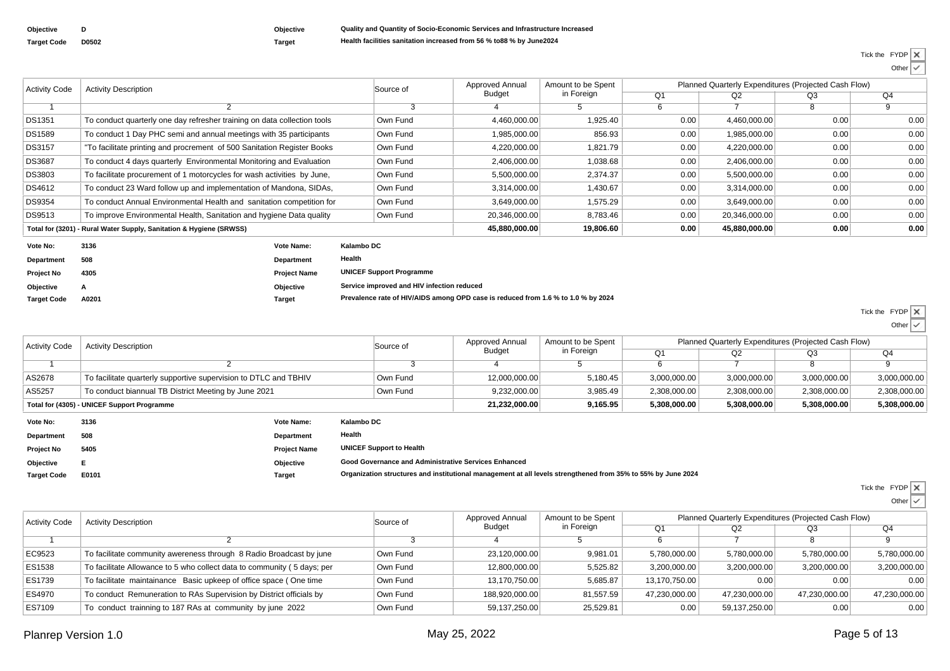**Objective**

**Target Code**

**<sup>A</sup>**

| Objec |
|-------|
| Targe |

## **Objective Quality and Quantity of Socio-Economic Services and Infrastructure Increased D0502 Target Health facilities sanitation increased from 56 % to88 % by June2024**

Tick the FYDP

| <b>Activity Code</b> | <b>Activity Description</b>                                              | Source of           | Approved Annual                 | Amount to be Spent |            |                | Planned Quarterly Expenditures (Projected Cash Flow) |      |      |
|----------------------|--------------------------------------------------------------------------|---------------------|---------------------------------|--------------------|------------|----------------|------------------------------------------------------|------|------|
|                      |                                                                          |                     |                                 | <b>Budget</b>      | in Foreign | Q <sub>1</sub> | Q2                                                   | Q3   | Q4   |
|                      |                                                                          |                     |                                 |                    | G.         | 6              |                                                      | 8    | 9    |
| DS1351               | To conduct quarterly one day refresher training on data collection tools |                     | Own Fund                        | 4,460,000.00       | 1,925.40   | 0.00           | 4,460,000.00                                         | 0.00 | 0.00 |
| <b>DS1589</b>        | To conduct 1 Day PHC semi and annual meetings with 35 participants       |                     | Own Fund                        | 1,985,000.00       | 856.93     | 0.00           | 1,985,000.00                                         | 0.00 | 0.00 |
| <b>DS3157</b>        | "To facilitate printing and procrement of 500 Sanitation Register Books  |                     | Own Fund                        | 4,220,000.00       | 1,821.79   | 0.00           | 4,220,000.00                                         | 0.00 | 0.00 |
| <b>DS3687</b>        | To conduct 4 days quarterly Environmental Monitoring and Evaluation      |                     | Own Fund                        | 2,406,000.00       | 1,038.68   | 0.00           | 2,406,000.00                                         | 0.00 | 0.00 |
| <b>DS3803</b>        | To facilitate procurement of 1 motorcycles for wash activities by June,  |                     | Own Fund                        | 5,500,000.00       | 2,374.37   | 0.00           | 5,500,000.00                                         | 0.00 | 0.00 |
| DS4612               | To conduct 23 Ward follow up and implementation of Mandona, SIDAs,       |                     | Own Fund                        | 3,314,000.00       | 1,430.67   | 0.00           | 3,314,000.00                                         | 0.00 | 0.00 |
| DS9354               | To conduct Annual Environmental Health and sanitation competition for    |                     | Own Fund                        | 3,649,000.00       | 1,575.29   | 0.00           | 3,649,000.00                                         | 0.00 | 0.00 |
| DS9513               | To improve Environmental Health, Sanitation and hygiene Data quality     |                     | Own Fund                        | 20,346,000.00      | 8,783.46   | 0.00           | 20,346,000.00                                        | 0.00 | 0.00 |
|                      | Total for (3201) - Rural Water Supply, Sanitation & Hygiene (SRWSS)      |                     |                                 | 45,880,000.00      | 19,806.60  | 0.00           | 45,880,000.00                                        | 0.00 | 0.00 |
| Vote No:             | 3136                                                                     | Vote Name:          | Kalambo DC                      |                    |            |                |                                                      |      |      |
| Department           | 508                                                                      | Department          | Health                          |                    |            |                |                                                      |      |      |
| Project No           | 4305                                                                     | <b>Project Name</b> | <b>UNICEF Support Programme</b> |                    |            |                |                                                      |      |      |

 **Objective Service improved and HIV infection reduced A0201 Target Prevalence rate of HIV/AIDS among OPD case is reduced from 1.6 % to 1.0 % by 2024**

> Tick the FYDP OtherIV

| <b>Activity Code</b>                        | <b>Activity Description</b>                                      | Source of | Approved Annual<br>Budget | Amount to be Spent<br>in Foreign | Planned Quarterly Expenditures (Projected Cash Flow) |              |              |              |
|---------------------------------------------|------------------------------------------------------------------|-----------|---------------------------|----------------------------------|------------------------------------------------------|--------------|--------------|--------------|
|                                             |                                                                  |           |                           |                                  |                                                      | Q2           | O3           | Q4           |
|                                             |                                                                  |           |                           |                                  |                                                      |              |              |              |
| AS2678                                      | To facilitate quarterly supportive supervision to DTLC and TBHIV | Own Fund  | 12,000,000.00             | 5,180.45                         | 3,000,000.00                                         | 3,000,000.00 | 3,000,000.00 | 3,000,000.00 |
| AS5257                                      | To conduct biannual TB District Meeting by June 2021             | Own Fund  | 9,232,000.00              | 3,985.49                         | 2.308.000.00                                         | 2.308.000.00 | 2.308.000.00 | 2,308,000.00 |
| Total for (4305) - UNICEF Support Programme |                                                                  |           | 21,232,000.00             | 9,165.95                         | 5.308.000.00                                         | 5,308,000.00 | 5.308.000.00 | 5,308,000.00 |

| Vote No:           | 3136  | Vote Name:          | Kalambo DC                                                                                                   |
|--------------------|-------|---------------------|--------------------------------------------------------------------------------------------------------------|
| Department         | 508   | <b>Department</b>   | Health                                                                                                       |
| <b>Project No</b>  | 5405  | <b>Project Name</b> | <b>UNICEF Support to Health</b>                                                                              |
| Objective          | Е     | Objective           | Good Governance and Administrative Services Enhanced                                                         |
| <b>Target Code</b> | E0101 | Target              | Organization structures and institutional management at all levels strengthened from 35% to 55% by June 2024 |
|                    |       |                     |                                                                                                              |

 $\times$ Tick the FYDP

| <b>Activity Code</b> | <b>Activity Description</b>                                             | Source of | Approved Annual<br>Budget | Amount to be Spent | Planned Quarterly Expenditures (Projected Cash Flow) |               |               |               |  |
|----------------------|-------------------------------------------------------------------------|-----------|---------------------------|--------------------|------------------------------------------------------|---------------|---------------|---------------|--|
|                      |                                                                         |           |                           | in Foreign         | O <sub>1</sub>                                       | Q2            | Q3            | Q4            |  |
|                      |                                                                         |           |                           |                    |                                                      |               |               |               |  |
| EC9523               | To facilitate community awereness through 8 Radio Broadcast by june     | Own Fund  | 23,120,000.00             | 9.981.01           | 5.780.000.00                                         | 5.780.000.00  | 5.780.000.00  | 5,780,000.00  |  |
| ES1538               | To facilitate Allowance to 5 who collect data to community (5 days; per | Own Fund  | 12.800.000.00             | 5,525.82           | 3,200,000.00                                         | 3,200,000.00  | 3,200,000.00  | 3,200,000.00  |  |
| ES1739               | To facilitate maintainance Basic upkeep of office space (One time       | Own Fund  | 13.170.750.00             | 5,685.87           | 13.170.750.00                                        | 0.00          | 0.00          | 0.00          |  |
| ES4970               | To conduct Remuneration to RAs Supervision by District officials by     | Own Fund  | 188.920.000.00            | 81,557.59          | 47,230,000.00                                        | 47.230.000.00 | 47.230.000.00 | 47,230,000.00 |  |
| ES7109               | To conduct trainning to 187 RAs at community by june 2022               | Own Fund  | 59,137,250.00             | 25,529.81          | 0.00                                                 | 59.137.250.00 | 0.00          | 0.00          |  |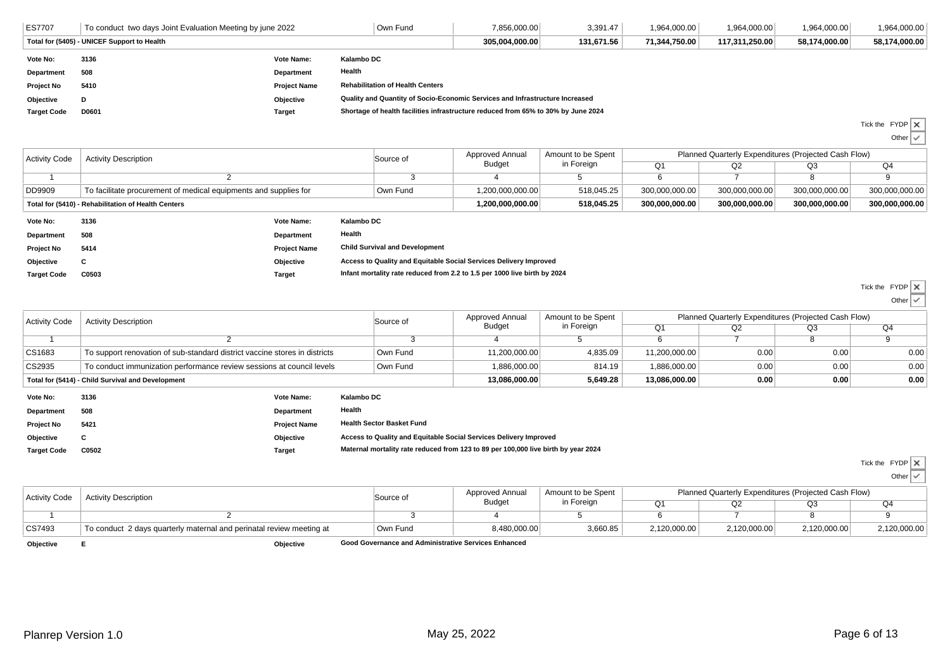| <b>ES7707</b>                               | To conduct two days Joint Evaluation Meeting by june 2022<br>Own Fund |                     |                                                                                   | 7.856.000.00 | 3,391.47      | 1,964,000.00   | 1,964,000.00  | 1,964,000.00  | 1,964,000.00 |
|---------------------------------------------|-----------------------------------------------------------------------|---------------------|-----------------------------------------------------------------------------------|--------------|---------------|----------------|---------------|---------------|--------------|
| Total for (5405) - UNICEF Support to Health |                                                                       |                     | 305.004.000.00                                                                    | 131.671.56   | 71.344.750.00 | 117.311.250.00 | 58.174.000.00 | 58,174,000.00 |              |
| Vote No:                                    | 3136                                                                  | <b>Vote Name:</b>   | Kalambo DC                                                                        |              |               |                |               |               |              |
| Department                                  | 508                                                                   | <b>Department</b>   | Health                                                                            |              |               |                |               |               |              |
| Project No                                  | 5410                                                                  | <b>Project Name</b> | <b>Rehabilitation of Health Centers</b>                                           |              |               |                |               |               |              |
| Objective                                   |                                                                       | Objective           | Quality and Quantity of Socio-Economic Services and Infrastructure Increased      |              |               |                |               |               |              |
| <b>Target Code</b>                          | D0601                                                                 | Target              | Shortage of health facilities infrastructure reduced from 65% to 30% by June 2024 |              |               |                |               |               |              |

Tick the FYDP

 Other್ರ

| <b>Activity Code</b>                                | <b>Activity Description</b>                                      | Source of | Approved Annual<br>Budget | Amount to be Spent<br>in Foreign | Planned Quarterly Expenditures (Projected Cash Flow) |                |                |                |  |
|-----------------------------------------------------|------------------------------------------------------------------|-----------|---------------------------|----------------------------------|------------------------------------------------------|----------------|----------------|----------------|--|
|                                                     |                                                                  |           |                           |                                  |                                                      | 72             | Q3             | Q4             |  |
|                                                     |                                                                  |           |                           |                                  |                                                      |                |                |                |  |
| <b>DD9909</b>                                       | To facilitate procurement of medical equipments and supplies for | Own Fund  | 1,200,000,000.00          | 518,045.25                       | 300,000,000.00                                       | 300,000,000.00 | 300,000,000.00 | 300,000,000.00 |  |
| Total for (5410) - Rehabilitation of Health Centers |                                                                  |           | 1.200.000.000.00          | 518.045.25                       | 300.000.000.00                                       | 300.000.000.00 | 300.000.000.00 | 300,000,000.00 |  |
|                                                     | .<br>.<br>.                                                      |           |                           |                                  |                                                      |                |                |                |  |

| Vote No:           | 3136  | Vote Name:          | Kalambo DC                                                                |
|--------------------|-------|---------------------|---------------------------------------------------------------------------|
| Department         | 508   | <b>Department</b>   | Health                                                                    |
| <b>Project No</b>  | 5414  | <b>Project Name</b> | <b>Child Survival and Development</b>                                     |
| <b>Objective</b>   |       | Objective           | Access to Quality and Equitable Social Services Delivery Improved         |
| <b>Target Code</b> | C0503 | Target              | Infant mortality rate reduced from 2.2 to 1.5 per 1000 live birth by 2024 |

|  | Tick the FYDP |  |
|--|---------------|--|
|  |               |  |

```
e FYDP<br>Other
```

| <b>Activity Code</b> | <b>Activity Description</b>                                                |                   | Source of  | Approved Annual | Amount to be Spent | Planned Quarterly Expenditures (Projected Cash Flow) |      |      |      |  |
|----------------------|----------------------------------------------------------------------------|-------------------|------------|-----------------|--------------------|------------------------------------------------------|------|------|------|--|
|                      |                                                                            |                   |            | Budget          | in Foreign         | Q <sub>1</sub>                                       | Q2   | Q3   | Q4   |  |
|                      |                                                                            |                   |            |                 |                    |                                                      |      |      |      |  |
| CS1683               | To support renovation of sub-standard district vaccine stores in districts |                   | Own Fund   | 11,200,000.00   | 4,835.09           | 11,200,000.00                                        | 0.00 | 0.00 | 0.00 |  |
| CS2935               | To conduct immunization performance review sessions at council levels      |                   | Own Fund   | 1.886.000.00    | 814.19             | 1,886,000.00                                         | 0.00 | 0.00 | 0.00 |  |
|                      | Total for (5414) - Child Survival and Development                          |                   |            | 13,086,000.00   | 5,649.28           | 13,086,000.00                                        | 0.00 | 0.00 | 0.00 |  |
| Vote No:             | 3136                                                                       | Vote Name:        | Kalambo DC |                 |                    |                                                      |      |      |      |  |
| Department           | 508                                                                        | <b>Department</b> | Health     |                 |                    |                                                      |      |      |      |  |

| <b>Project No</b> | 5421 | <b>Project Name</b> | <b>Health Sector Basket Fund</b>                                  |
|-------------------|------|---------------------|-------------------------------------------------------------------|
| Obiective         |      | Objective           | Access to Quality and Equitable Social Services Delivery Improved |

**C0502 Target Maternal mortality rate reduced from 123 to 89 per 100,000 live birth by year 2024**

Tick the FYDP

Other $\checkmark$ 

| <b>Activity Code</b> | <b>Activity Description</b>                                          | Source of                                            | Approved Annual<br><b>Budget</b> | Amount to be Spent<br>in Foreign | Planned Quarterly Expenditures (Projected Cash Flow) |              |              |              |  |
|----------------------|----------------------------------------------------------------------|------------------------------------------------------|----------------------------------|----------------------------------|------------------------------------------------------|--------------|--------------|--------------|--|
|                      |                                                                      |                                                      |                                  |                                  |                                                      |              | Q3           | Q4           |  |
|                      |                                                                      |                                                      |                                  |                                  |                                                      |              |              |              |  |
| CS7493               | To conduct 2 days quarterly maternal and perinatal review meeting at | Own Fund                                             | 8,480,000.00                     | 3,660.85                         | 2,120,000.00                                         | 2,120,000.00 | 2,120,000.00 | 2,120,000.00 |  |
| Objective            | Objective                                                            | Good Governance and Administrative Services Enhanced |                                  |                                  |                                                      |              |              |              |  |

**Objective**

**Target Code**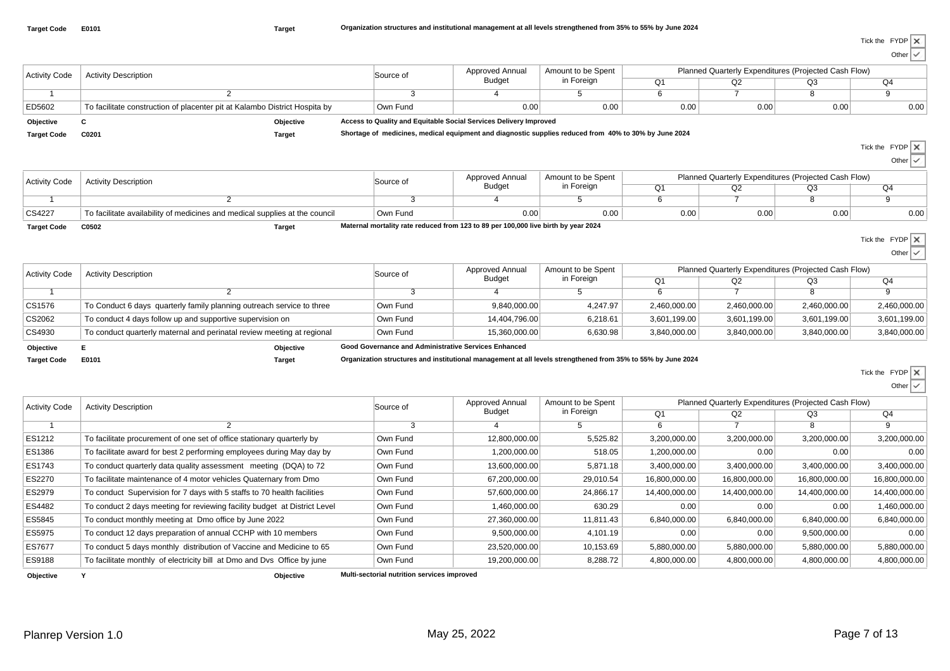Other $\checkmark$ 

| Planned Quarterly Expenditures (Projected Cash Flow)<br>Amount to be Spent<br>Approved Annual<br><b>Activity Code</b><br><b>Activity Description</b><br>Source of<br>in Foreign<br><b>Budget</b><br>Q1<br>Q2<br>Q3<br>Q4<br>6<br>$\overline{7}$<br>$\overline{8}$<br>3<br>9<br>2<br>4<br>5<br>-1<br>0.00<br>0.00<br>0.00<br>ED5602<br>To facilitate construction of placenter pit at Kalambo District Hospita by<br>Own Fund<br>0.00<br>0.00<br>0.00<br>Access to Quality and Equitable Social Services Delivery Improved<br>Objective<br>C<br>Objective<br>Shortage of medicines, medical equipment and diagnostic supplies reduced from 40% to 30% by June 2024<br><b>Target Code</b><br>C0201<br><b>Target</b><br>Tick the FYDP   X<br>Other $\vert \checkmark$<br>Planned Quarterly Expenditures (Projected Cash Flow)<br>Approved Annual<br>Amount to be Spent<br><b>Activity Code</b><br><b>Activity Description</b><br>Source of<br><b>Budget</b><br>in Foreign<br>Q1<br>Q2<br>Q3<br>Q4<br>$\overline{7}$<br>$\overline{8}$<br>$\overline{2}$<br>3<br>5<br>6<br>9<br>$\overline{1}$<br>4<br>CS4227<br>Own Fund<br>0.00<br>0.00<br>0.00<br>0.00<br>To facilitate availability of medicines and medical supplies at the council<br>0.00<br>0.00<br>Maternal mortality rate reduced from 123 to 89 per 100,000 live birth by year 2024<br><b>Target Code</b><br>C0502<br><b>Target</b><br>Tick the $FYDP \times$<br>Other $\vee$<br>Planned Quarterly Expenditures (Projected Cash Flow)<br>Approved Annual<br>Amount to be Spent<br><b>Activity Code</b><br><b>Activity Description</b><br>Source of<br>in Foreign<br><b>Budget</b><br>Q1<br>Q2<br>Q3<br>Q4<br>$\overline{3}$<br>$\overline{5}$<br>$\overline{6}$<br>$\overline{7}$<br>$\overline{8}$<br>$\overline{9}$<br>$\overline{2}$<br>$\overline{4}$<br>-1<br>CS1576<br>To Conduct 6 days quarterly family planning outreach service to three<br>Own Fund<br>9,840,000.00<br>4,247.97<br>2,460,000.00<br>2,460,000.00<br>2,460,000.00<br>2,460,000.00<br>CS2062<br>3,601,199.00<br>To conduct 4 days follow up and supportive supervision on<br>Own Fund<br>14,404,796.00<br>6,218.61<br>3,601,199.00<br>3,601,199.00<br>3,601,199.00<br>CS4930<br>To conduct quarterly maternal and perinatal review meeting at regional<br>Own Fund<br>15,360,000.00<br>6,630.98<br>3,840,000.00<br>3,840,000.00<br>3,840,000.00<br>3,840,000.00<br>Good Governance and Administrative Services Enhanced<br>E.<br>Objective<br>Objective<br>Organization structures and institutional management at all levels strengthened from 35% to 55% by June 2024<br><b>Target Code</b><br>E0101<br><b>Target</b><br>Tick the FYDP X<br>Other $\vee$<br>Planned Quarterly Expenditures (Projected Cash Flow)<br>Approved Annual<br>Amount to be Spent<br><b>Activity Code</b><br><b>Activity Description</b><br>Source of<br>in Foreign<br><b>Budget</b><br>Q1<br>Q2<br>Q3<br>Q4<br>$\overline{8}$<br>$\overline{3}$<br>$5\overline{)}$<br>6<br>$\overline{7}$<br>9<br>2<br>4<br>$\mathbf 1$<br>ES1212<br>To facilitate procurement of one set of office stationary quarterly by<br>Own Fund<br>12,800,000.00<br>5,525.82<br>3,200,000.00<br>3,200,000.00<br>3,200,000.00<br>3,200,000.00<br>ES1386<br>Own Fund<br>1,200,000.00<br>518.05<br>0.00<br>0.00<br>0.00<br>To facilitate award for best 2 performing employees during May day by<br>1,200,000.00<br>ES1743<br>To conduct quarterly data quality assessment meeting (DQA) to 72<br>Own Fund<br>13,600,000.00<br>5,871.18<br>3,400,000.00<br>3,400,000.00<br>3,400,000.00<br>3,400,000.00<br>ES2270<br>To facilitate maintenance of 4 motor vehicles Quaternary from Dmo<br>Own Fund<br>67,200,000.00<br>29,010.54<br>16,800,000.00<br>16,800,000.00<br>16,800,000.00<br>16,800,000.00<br>ES2979<br>To conduct Supervision for 7 days with 5 staffs to 70 health facilities<br>Own Fund<br>57,600,000.00<br>24,866.17<br>14,400,000.00<br>14,400,000.00<br>14,400,000.00<br>14,400,000.00<br>ES4482<br>To conduct 2 days meeting for reviewing facility budget at District Level<br>Own Fund<br>1,460,000.00<br>630.29<br>0.00<br>0.00<br>0.00<br>1,460,000.00<br>ES5845<br>Own Fund<br>27,360,000.00<br>11,811.43<br>6,840,000.00<br>6,840,000.00<br>6,840,000.00<br>6,840,000.00<br>To conduct monthly meeting at Dmo office by June 2022<br>ES5975<br>Own Fund<br>9,500,000.00<br>4,101.19<br>0.00<br>0.00<br>9,500,000.00<br>0.00<br>To conduct 12 days preparation of annual CCHP with 10 members<br>ES7677<br>To conduct 5 days monthly distribution of Vaccine and Medicine to 65<br>Own Fund<br>23,520,000.00<br>10,153.69<br>5,880,000.00<br>5,880,000.00<br>5,880,000.00<br>5,880,000.00 |        |                                                                         |          |               |          |              |              |              |              |  |
|-------------------------------------------------------------------------------------------------------------------------------------------------------------------------------------------------------------------------------------------------------------------------------------------------------------------------------------------------------------------------------------------------------------------------------------------------------------------------------------------------------------------------------------------------------------------------------------------------------------------------------------------------------------------------------------------------------------------------------------------------------------------------------------------------------------------------------------------------------------------------------------------------------------------------------------------------------------------------------------------------------------------------------------------------------------------------------------------------------------------------------------------------------------------------------------------------------------------------------------------------------------------------------------------------------------------------------------------------------------------------------------------------------------------------------------------------------------------------------------------------------------------------------------------------------------------------------------------------------------------------------------------------------------------------------------------------------------------------------------------------------------------------------------------------------------------------------------------------------------------------------------------------------------------------------------------------------------------------------------------------------------------------------------------------------------------------------------------------------------------------------------------------------------------------------------------------------------------------------------------------------------------------------------------------------------------------------------------------------------------------------------------------------------------------------------------------------------------------------------------------------------------------------------------------------------------------------------------------------------------------------------------------------------------------------------------------------------------------------------------------------------------------------------------------------------------------------------------------------------------------------------------------------------------------------------------------------------------------------------------------------------------------------------------------------------------------------------------------------------------------------------------------------------------------------------------------------------------------------------------------------------------------------------------------------------------------------------------------------------------------------------------------------------------------------------------------------------------------------------------------------------------------------------------------------------------------------------------------------------------------------------------------------------------------------------------------------------------------------------------------------------------------------------------------------------------------------------------------------------------------------------------------------------------------------------------------------------------------------------------------------------------------------------------------------------------------------------------------------------------------------------------------------------------------------------------------------------------------------------------------------------------------------------------------------------------------------------------------------------------------------------------------------------------------------------------------------------------------------------------------------------------------------------------------------------------------------------------------------------------------------------------------------------------------------------------------|--------|-------------------------------------------------------------------------|----------|---------------|----------|--------------|--------------|--------------|--------------|--|
|                                                                                                                                                                                                                                                                                                                                                                                                                                                                                                                                                                                                                                                                                                                                                                                                                                                                                                                                                                                                                                                                                                                                                                                                                                                                                                                                                                                                                                                                                                                                                                                                                                                                                                                                                                                                                                                                                                                                                                                                                                                                                                                                                                                                                                                                                                                                                                                                                                                                                                                                                                                                                                                                                                                                                                                                                                                                                                                                                                                                                                                                                                                                                                                                                                                                                                                                                                                                                                                                                                                                                                                                                                                                                                                                                                                                                                                                                                                                                                                                                                                                                                                                                                                                                                                                                                                                                                                                                                                                                                                                                                                                                                                                                                 |        |                                                                         |          |               |          |              |              |              |              |  |
|                                                                                                                                                                                                                                                                                                                                                                                                                                                                                                                                                                                                                                                                                                                                                                                                                                                                                                                                                                                                                                                                                                                                                                                                                                                                                                                                                                                                                                                                                                                                                                                                                                                                                                                                                                                                                                                                                                                                                                                                                                                                                                                                                                                                                                                                                                                                                                                                                                                                                                                                                                                                                                                                                                                                                                                                                                                                                                                                                                                                                                                                                                                                                                                                                                                                                                                                                                                                                                                                                                                                                                                                                                                                                                                                                                                                                                                                                                                                                                                                                                                                                                                                                                                                                                                                                                                                                                                                                                                                                                                                                                                                                                                                                                 |        |                                                                         |          |               |          |              |              |              |              |  |
|                                                                                                                                                                                                                                                                                                                                                                                                                                                                                                                                                                                                                                                                                                                                                                                                                                                                                                                                                                                                                                                                                                                                                                                                                                                                                                                                                                                                                                                                                                                                                                                                                                                                                                                                                                                                                                                                                                                                                                                                                                                                                                                                                                                                                                                                                                                                                                                                                                                                                                                                                                                                                                                                                                                                                                                                                                                                                                                                                                                                                                                                                                                                                                                                                                                                                                                                                                                                                                                                                                                                                                                                                                                                                                                                                                                                                                                                                                                                                                                                                                                                                                                                                                                                                                                                                                                                                                                                                                                                                                                                                                                                                                                                                                 |        |                                                                         |          |               |          |              |              |              |              |  |
|                                                                                                                                                                                                                                                                                                                                                                                                                                                                                                                                                                                                                                                                                                                                                                                                                                                                                                                                                                                                                                                                                                                                                                                                                                                                                                                                                                                                                                                                                                                                                                                                                                                                                                                                                                                                                                                                                                                                                                                                                                                                                                                                                                                                                                                                                                                                                                                                                                                                                                                                                                                                                                                                                                                                                                                                                                                                                                                                                                                                                                                                                                                                                                                                                                                                                                                                                                                                                                                                                                                                                                                                                                                                                                                                                                                                                                                                                                                                                                                                                                                                                                                                                                                                                                                                                                                                                                                                                                                                                                                                                                                                                                                                                                 |        |                                                                         |          |               |          |              |              |              |              |  |
|                                                                                                                                                                                                                                                                                                                                                                                                                                                                                                                                                                                                                                                                                                                                                                                                                                                                                                                                                                                                                                                                                                                                                                                                                                                                                                                                                                                                                                                                                                                                                                                                                                                                                                                                                                                                                                                                                                                                                                                                                                                                                                                                                                                                                                                                                                                                                                                                                                                                                                                                                                                                                                                                                                                                                                                                                                                                                                                                                                                                                                                                                                                                                                                                                                                                                                                                                                                                                                                                                                                                                                                                                                                                                                                                                                                                                                                                                                                                                                                                                                                                                                                                                                                                                                                                                                                                                                                                                                                                                                                                                                                                                                                                                                 |        |                                                                         |          |               |          |              |              |              |              |  |
|                                                                                                                                                                                                                                                                                                                                                                                                                                                                                                                                                                                                                                                                                                                                                                                                                                                                                                                                                                                                                                                                                                                                                                                                                                                                                                                                                                                                                                                                                                                                                                                                                                                                                                                                                                                                                                                                                                                                                                                                                                                                                                                                                                                                                                                                                                                                                                                                                                                                                                                                                                                                                                                                                                                                                                                                                                                                                                                                                                                                                                                                                                                                                                                                                                                                                                                                                                                                                                                                                                                                                                                                                                                                                                                                                                                                                                                                                                                                                                                                                                                                                                                                                                                                                                                                                                                                                                                                                                                                                                                                                                                                                                                                                                 |        |                                                                         |          |               |          |              |              |              |              |  |
|                                                                                                                                                                                                                                                                                                                                                                                                                                                                                                                                                                                                                                                                                                                                                                                                                                                                                                                                                                                                                                                                                                                                                                                                                                                                                                                                                                                                                                                                                                                                                                                                                                                                                                                                                                                                                                                                                                                                                                                                                                                                                                                                                                                                                                                                                                                                                                                                                                                                                                                                                                                                                                                                                                                                                                                                                                                                                                                                                                                                                                                                                                                                                                                                                                                                                                                                                                                                                                                                                                                                                                                                                                                                                                                                                                                                                                                                                                                                                                                                                                                                                                                                                                                                                                                                                                                                                                                                                                                                                                                                                                                                                                                                                                 |        |                                                                         |          |               |          |              |              |              |              |  |
|                                                                                                                                                                                                                                                                                                                                                                                                                                                                                                                                                                                                                                                                                                                                                                                                                                                                                                                                                                                                                                                                                                                                                                                                                                                                                                                                                                                                                                                                                                                                                                                                                                                                                                                                                                                                                                                                                                                                                                                                                                                                                                                                                                                                                                                                                                                                                                                                                                                                                                                                                                                                                                                                                                                                                                                                                                                                                                                                                                                                                                                                                                                                                                                                                                                                                                                                                                                                                                                                                                                                                                                                                                                                                                                                                                                                                                                                                                                                                                                                                                                                                                                                                                                                                                                                                                                                                                                                                                                                                                                                                                                                                                                                                                 |        |                                                                         |          |               |          |              |              |              |              |  |
|                                                                                                                                                                                                                                                                                                                                                                                                                                                                                                                                                                                                                                                                                                                                                                                                                                                                                                                                                                                                                                                                                                                                                                                                                                                                                                                                                                                                                                                                                                                                                                                                                                                                                                                                                                                                                                                                                                                                                                                                                                                                                                                                                                                                                                                                                                                                                                                                                                                                                                                                                                                                                                                                                                                                                                                                                                                                                                                                                                                                                                                                                                                                                                                                                                                                                                                                                                                                                                                                                                                                                                                                                                                                                                                                                                                                                                                                                                                                                                                                                                                                                                                                                                                                                                                                                                                                                                                                                                                                                                                                                                                                                                                                                                 |        |                                                                         |          |               |          |              |              |              |              |  |
|                                                                                                                                                                                                                                                                                                                                                                                                                                                                                                                                                                                                                                                                                                                                                                                                                                                                                                                                                                                                                                                                                                                                                                                                                                                                                                                                                                                                                                                                                                                                                                                                                                                                                                                                                                                                                                                                                                                                                                                                                                                                                                                                                                                                                                                                                                                                                                                                                                                                                                                                                                                                                                                                                                                                                                                                                                                                                                                                                                                                                                                                                                                                                                                                                                                                                                                                                                                                                                                                                                                                                                                                                                                                                                                                                                                                                                                                                                                                                                                                                                                                                                                                                                                                                                                                                                                                                                                                                                                                                                                                                                                                                                                                                                 |        |                                                                         |          |               |          |              |              |              |              |  |
|                                                                                                                                                                                                                                                                                                                                                                                                                                                                                                                                                                                                                                                                                                                                                                                                                                                                                                                                                                                                                                                                                                                                                                                                                                                                                                                                                                                                                                                                                                                                                                                                                                                                                                                                                                                                                                                                                                                                                                                                                                                                                                                                                                                                                                                                                                                                                                                                                                                                                                                                                                                                                                                                                                                                                                                                                                                                                                                                                                                                                                                                                                                                                                                                                                                                                                                                                                                                                                                                                                                                                                                                                                                                                                                                                                                                                                                                                                                                                                                                                                                                                                                                                                                                                                                                                                                                                                                                                                                                                                                                                                                                                                                                                                 |        |                                                                         |          |               |          |              |              |              |              |  |
|                                                                                                                                                                                                                                                                                                                                                                                                                                                                                                                                                                                                                                                                                                                                                                                                                                                                                                                                                                                                                                                                                                                                                                                                                                                                                                                                                                                                                                                                                                                                                                                                                                                                                                                                                                                                                                                                                                                                                                                                                                                                                                                                                                                                                                                                                                                                                                                                                                                                                                                                                                                                                                                                                                                                                                                                                                                                                                                                                                                                                                                                                                                                                                                                                                                                                                                                                                                                                                                                                                                                                                                                                                                                                                                                                                                                                                                                                                                                                                                                                                                                                                                                                                                                                                                                                                                                                                                                                                                                                                                                                                                                                                                                                                 |        |                                                                         |          |               |          |              |              |              |              |  |
|                                                                                                                                                                                                                                                                                                                                                                                                                                                                                                                                                                                                                                                                                                                                                                                                                                                                                                                                                                                                                                                                                                                                                                                                                                                                                                                                                                                                                                                                                                                                                                                                                                                                                                                                                                                                                                                                                                                                                                                                                                                                                                                                                                                                                                                                                                                                                                                                                                                                                                                                                                                                                                                                                                                                                                                                                                                                                                                                                                                                                                                                                                                                                                                                                                                                                                                                                                                                                                                                                                                                                                                                                                                                                                                                                                                                                                                                                                                                                                                                                                                                                                                                                                                                                                                                                                                                                                                                                                                                                                                                                                                                                                                                                                 |        |                                                                         |          |               |          |              |              |              |              |  |
|                                                                                                                                                                                                                                                                                                                                                                                                                                                                                                                                                                                                                                                                                                                                                                                                                                                                                                                                                                                                                                                                                                                                                                                                                                                                                                                                                                                                                                                                                                                                                                                                                                                                                                                                                                                                                                                                                                                                                                                                                                                                                                                                                                                                                                                                                                                                                                                                                                                                                                                                                                                                                                                                                                                                                                                                                                                                                                                                                                                                                                                                                                                                                                                                                                                                                                                                                                                                                                                                                                                                                                                                                                                                                                                                                                                                                                                                                                                                                                                                                                                                                                                                                                                                                                                                                                                                                                                                                                                                                                                                                                                                                                                                                                 |        |                                                                         |          |               |          |              |              |              |              |  |
|                                                                                                                                                                                                                                                                                                                                                                                                                                                                                                                                                                                                                                                                                                                                                                                                                                                                                                                                                                                                                                                                                                                                                                                                                                                                                                                                                                                                                                                                                                                                                                                                                                                                                                                                                                                                                                                                                                                                                                                                                                                                                                                                                                                                                                                                                                                                                                                                                                                                                                                                                                                                                                                                                                                                                                                                                                                                                                                                                                                                                                                                                                                                                                                                                                                                                                                                                                                                                                                                                                                                                                                                                                                                                                                                                                                                                                                                                                                                                                                                                                                                                                                                                                                                                                                                                                                                                                                                                                                                                                                                                                                                                                                                                                 |        |                                                                         |          |               |          |              |              |              |              |  |
|                                                                                                                                                                                                                                                                                                                                                                                                                                                                                                                                                                                                                                                                                                                                                                                                                                                                                                                                                                                                                                                                                                                                                                                                                                                                                                                                                                                                                                                                                                                                                                                                                                                                                                                                                                                                                                                                                                                                                                                                                                                                                                                                                                                                                                                                                                                                                                                                                                                                                                                                                                                                                                                                                                                                                                                                                                                                                                                                                                                                                                                                                                                                                                                                                                                                                                                                                                                                                                                                                                                                                                                                                                                                                                                                                                                                                                                                                                                                                                                                                                                                                                                                                                                                                                                                                                                                                                                                                                                                                                                                                                                                                                                                                                 |        |                                                                         |          |               |          |              |              |              |              |  |
|                                                                                                                                                                                                                                                                                                                                                                                                                                                                                                                                                                                                                                                                                                                                                                                                                                                                                                                                                                                                                                                                                                                                                                                                                                                                                                                                                                                                                                                                                                                                                                                                                                                                                                                                                                                                                                                                                                                                                                                                                                                                                                                                                                                                                                                                                                                                                                                                                                                                                                                                                                                                                                                                                                                                                                                                                                                                                                                                                                                                                                                                                                                                                                                                                                                                                                                                                                                                                                                                                                                                                                                                                                                                                                                                                                                                                                                                                                                                                                                                                                                                                                                                                                                                                                                                                                                                                                                                                                                                                                                                                                                                                                                                                                 |        |                                                                         |          |               |          |              |              |              |              |  |
|                                                                                                                                                                                                                                                                                                                                                                                                                                                                                                                                                                                                                                                                                                                                                                                                                                                                                                                                                                                                                                                                                                                                                                                                                                                                                                                                                                                                                                                                                                                                                                                                                                                                                                                                                                                                                                                                                                                                                                                                                                                                                                                                                                                                                                                                                                                                                                                                                                                                                                                                                                                                                                                                                                                                                                                                                                                                                                                                                                                                                                                                                                                                                                                                                                                                                                                                                                                                                                                                                                                                                                                                                                                                                                                                                                                                                                                                                                                                                                                                                                                                                                                                                                                                                                                                                                                                                                                                                                                                                                                                                                                                                                                                                                 |        |                                                                         |          |               |          |              |              |              |              |  |
|                                                                                                                                                                                                                                                                                                                                                                                                                                                                                                                                                                                                                                                                                                                                                                                                                                                                                                                                                                                                                                                                                                                                                                                                                                                                                                                                                                                                                                                                                                                                                                                                                                                                                                                                                                                                                                                                                                                                                                                                                                                                                                                                                                                                                                                                                                                                                                                                                                                                                                                                                                                                                                                                                                                                                                                                                                                                                                                                                                                                                                                                                                                                                                                                                                                                                                                                                                                                                                                                                                                                                                                                                                                                                                                                                                                                                                                                                                                                                                                                                                                                                                                                                                                                                                                                                                                                                                                                                                                                                                                                                                                                                                                                                                 |        |                                                                         |          |               |          |              |              |              |              |  |
|                                                                                                                                                                                                                                                                                                                                                                                                                                                                                                                                                                                                                                                                                                                                                                                                                                                                                                                                                                                                                                                                                                                                                                                                                                                                                                                                                                                                                                                                                                                                                                                                                                                                                                                                                                                                                                                                                                                                                                                                                                                                                                                                                                                                                                                                                                                                                                                                                                                                                                                                                                                                                                                                                                                                                                                                                                                                                                                                                                                                                                                                                                                                                                                                                                                                                                                                                                                                                                                                                                                                                                                                                                                                                                                                                                                                                                                                                                                                                                                                                                                                                                                                                                                                                                                                                                                                                                                                                                                                                                                                                                                                                                                                                                 |        |                                                                         |          |               |          |              |              |              |              |  |
|                                                                                                                                                                                                                                                                                                                                                                                                                                                                                                                                                                                                                                                                                                                                                                                                                                                                                                                                                                                                                                                                                                                                                                                                                                                                                                                                                                                                                                                                                                                                                                                                                                                                                                                                                                                                                                                                                                                                                                                                                                                                                                                                                                                                                                                                                                                                                                                                                                                                                                                                                                                                                                                                                                                                                                                                                                                                                                                                                                                                                                                                                                                                                                                                                                                                                                                                                                                                                                                                                                                                                                                                                                                                                                                                                                                                                                                                                                                                                                                                                                                                                                                                                                                                                                                                                                                                                                                                                                                                                                                                                                                                                                                                                                 |        |                                                                         |          |               |          |              |              |              |              |  |
|                                                                                                                                                                                                                                                                                                                                                                                                                                                                                                                                                                                                                                                                                                                                                                                                                                                                                                                                                                                                                                                                                                                                                                                                                                                                                                                                                                                                                                                                                                                                                                                                                                                                                                                                                                                                                                                                                                                                                                                                                                                                                                                                                                                                                                                                                                                                                                                                                                                                                                                                                                                                                                                                                                                                                                                                                                                                                                                                                                                                                                                                                                                                                                                                                                                                                                                                                                                                                                                                                                                                                                                                                                                                                                                                                                                                                                                                                                                                                                                                                                                                                                                                                                                                                                                                                                                                                                                                                                                                                                                                                                                                                                                                                                 |        |                                                                         |          |               |          |              |              |              |              |  |
|                                                                                                                                                                                                                                                                                                                                                                                                                                                                                                                                                                                                                                                                                                                                                                                                                                                                                                                                                                                                                                                                                                                                                                                                                                                                                                                                                                                                                                                                                                                                                                                                                                                                                                                                                                                                                                                                                                                                                                                                                                                                                                                                                                                                                                                                                                                                                                                                                                                                                                                                                                                                                                                                                                                                                                                                                                                                                                                                                                                                                                                                                                                                                                                                                                                                                                                                                                                                                                                                                                                                                                                                                                                                                                                                                                                                                                                                                                                                                                                                                                                                                                                                                                                                                                                                                                                                                                                                                                                                                                                                                                                                                                                                                                 |        |                                                                         |          |               |          |              |              |              |              |  |
|                                                                                                                                                                                                                                                                                                                                                                                                                                                                                                                                                                                                                                                                                                                                                                                                                                                                                                                                                                                                                                                                                                                                                                                                                                                                                                                                                                                                                                                                                                                                                                                                                                                                                                                                                                                                                                                                                                                                                                                                                                                                                                                                                                                                                                                                                                                                                                                                                                                                                                                                                                                                                                                                                                                                                                                                                                                                                                                                                                                                                                                                                                                                                                                                                                                                                                                                                                                                                                                                                                                                                                                                                                                                                                                                                                                                                                                                                                                                                                                                                                                                                                                                                                                                                                                                                                                                                                                                                                                                                                                                                                                                                                                                                                 |        |                                                                         |          |               |          |              |              |              |              |  |
|                                                                                                                                                                                                                                                                                                                                                                                                                                                                                                                                                                                                                                                                                                                                                                                                                                                                                                                                                                                                                                                                                                                                                                                                                                                                                                                                                                                                                                                                                                                                                                                                                                                                                                                                                                                                                                                                                                                                                                                                                                                                                                                                                                                                                                                                                                                                                                                                                                                                                                                                                                                                                                                                                                                                                                                                                                                                                                                                                                                                                                                                                                                                                                                                                                                                                                                                                                                                                                                                                                                                                                                                                                                                                                                                                                                                                                                                                                                                                                                                                                                                                                                                                                                                                                                                                                                                                                                                                                                                                                                                                                                                                                                                                                 |        |                                                                         |          |               |          |              |              |              |              |  |
|                                                                                                                                                                                                                                                                                                                                                                                                                                                                                                                                                                                                                                                                                                                                                                                                                                                                                                                                                                                                                                                                                                                                                                                                                                                                                                                                                                                                                                                                                                                                                                                                                                                                                                                                                                                                                                                                                                                                                                                                                                                                                                                                                                                                                                                                                                                                                                                                                                                                                                                                                                                                                                                                                                                                                                                                                                                                                                                                                                                                                                                                                                                                                                                                                                                                                                                                                                                                                                                                                                                                                                                                                                                                                                                                                                                                                                                                                                                                                                                                                                                                                                                                                                                                                                                                                                                                                                                                                                                                                                                                                                                                                                                                                                 |        |                                                                         |          |               |          |              |              |              |              |  |
|                                                                                                                                                                                                                                                                                                                                                                                                                                                                                                                                                                                                                                                                                                                                                                                                                                                                                                                                                                                                                                                                                                                                                                                                                                                                                                                                                                                                                                                                                                                                                                                                                                                                                                                                                                                                                                                                                                                                                                                                                                                                                                                                                                                                                                                                                                                                                                                                                                                                                                                                                                                                                                                                                                                                                                                                                                                                                                                                                                                                                                                                                                                                                                                                                                                                                                                                                                                                                                                                                                                                                                                                                                                                                                                                                                                                                                                                                                                                                                                                                                                                                                                                                                                                                                                                                                                                                                                                                                                                                                                                                                                                                                                                                                 |        |                                                                         |          |               |          |              |              |              |              |  |
|                                                                                                                                                                                                                                                                                                                                                                                                                                                                                                                                                                                                                                                                                                                                                                                                                                                                                                                                                                                                                                                                                                                                                                                                                                                                                                                                                                                                                                                                                                                                                                                                                                                                                                                                                                                                                                                                                                                                                                                                                                                                                                                                                                                                                                                                                                                                                                                                                                                                                                                                                                                                                                                                                                                                                                                                                                                                                                                                                                                                                                                                                                                                                                                                                                                                                                                                                                                                                                                                                                                                                                                                                                                                                                                                                                                                                                                                                                                                                                                                                                                                                                                                                                                                                                                                                                                                                                                                                                                                                                                                                                                                                                                                                                 |        |                                                                         |          |               |          |              |              |              |              |  |
|                                                                                                                                                                                                                                                                                                                                                                                                                                                                                                                                                                                                                                                                                                                                                                                                                                                                                                                                                                                                                                                                                                                                                                                                                                                                                                                                                                                                                                                                                                                                                                                                                                                                                                                                                                                                                                                                                                                                                                                                                                                                                                                                                                                                                                                                                                                                                                                                                                                                                                                                                                                                                                                                                                                                                                                                                                                                                                                                                                                                                                                                                                                                                                                                                                                                                                                                                                                                                                                                                                                                                                                                                                                                                                                                                                                                                                                                                                                                                                                                                                                                                                                                                                                                                                                                                                                                                                                                                                                                                                                                                                                                                                                                                                 |        |                                                                         |          |               |          |              |              |              |              |  |
|                                                                                                                                                                                                                                                                                                                                                                                                                                                                                                                                                                                                                                                                                                                                                                                                                                                                                                                                                                                                                                                                                                                                                                                                                                                                                                                                                                                                                                                                                                                                                                                                                                                                                                                                                                                                                                                                                                                                                                                                                                                                                                                                                                                                                                                                                                                                                                                                                                                                                                                                                                                                                                                                                                                                                                                                                                                                                                                                                                                                                                                                                                                                                                                                                                                                                                                                                                                                                                                                                                                                                                                                                                                                                                                                                                                                                                                                                                                                                                                                                                                                                                                                                                                                                                                                                                                                                                                                                                                                                                                                                                                                                                                                                                 |        |                                                                         |          |               |          |              |              |              |              |  |
|                                                                                                                                                                                                                                                                                                                                                                                                                                                                                                                                                                                                                                                                                                                                                                                                                                                                                                                                                                                                                                                                                                                                                                                                                                                                                                                                                                                                                                                                                                                                                                                                                                                                                                                                                                                                                                                                                                                                                                                                                                                                                                                                                                                                                                                                                                                                                                                                                                                                                                                                                                                                                                                                                                                                                                                                                                                                                                                                                                                                                                                                                                                                                                                                                                                                                                                                                                                                                                                                                                                                                                                                                                                                                                                                                                                                                                                                                                                                                                                                                                                                                                                                                                                                                                                                                                                                                                                                                                                                                                                                                                                                                                                                                                 |        |                                                                         |          |               |          |              |              |              |              |  |
|                                                                                                                                                                                                                                                                                                                                                                                                                                                                                                                                                                                                                                                                                                                                                                                                                                                                                                                                                                                                                                                                                                                                                                                                                                                                                                                                                                                                                                                                                                                                                                                                                                                                                                                                                                                                                                                                                                                                                                                                                                                                                                                                                                                                                                                                                                                                                                                                                                                                                                                                                                                                                                                                                                                                                                                                                                                                                                                                                                                                                                                                                                                                                                                                                                                                                                                                                                                                                                                                                                                                                                                                                                                                                                                                                                                                                                                                                                                                                                                                                                                                                                                                                                                                                                                                                                                                                                                                                                                                                                                                                                                                                                                                                                 |        |                                                                         |          |               |          |              |              |              |              |  |
|                                                                                                                                                                                                                                                                                                                                                                                                                                                                                                                                                                                                                                                                                                                                                                                                                                                                                                                                                                                                                                                                                                                                                                                                                                                                                                                                                                                                                                                                                                                                                                                                                                                                                                                                                                                                                                                                                                                                                                                                                                                                                                                                                                                                                                                                                                                                                                                                                                                                                                                                                                                                                                                                                                                                                                                                                                                                                                                                                                                                                                                                                                                                                                                                                                                                                                                                                                                                                                                                                                                                                                                                                                                                                                                                                                                                                                                                                                                                                                                                                                                                                                                                                                                                                                                                                                                                                                                                                                                                                                                                                                                                                                                                                                 |        |                                                                         |          |               |          |              |              |              |              |  |
|                                                                                                                                                                                                                                                                                                                                                                                                                                                                                                                                                                                                                                                                                                                                                                                                                                                                                                                                                                                                                                                                                                                                                                                                                                                                                                                                                                                                                                                                                                                                                                                                                                                                                                                                                                                                                                                                                                                                                                                                                                                                                                                                                                                                                                                                                                                                                                                                                                                                                                                                                                                                                                                                                                                                                                                                                                                                                                                                                                                                                                                                                                                                                                                                                                                                                                                                                                                                                                                                                                                                                                                                                                                                                                                                                                                                                                                                                                                                                                                                                                                                                                                                                                                                                                                                                                                                                                                                                                                                                                                                                                                                                                                                                                 |        |                                                                         |          |               |          |              |              |              |              |  |
|                                                                                                                                                                                                                                                                                                                                                                                                                                                                                                                                                                                                                                                                                                                                                                                                                                                                                                                                                                                                                                                                                                                                                                                                                                                                                                                                                                                                                                                                                                                                                                                                                                                                                                                                                                                                                                                                                                                                                                                                                                                                                                                                                                                                                                                                                                                                                                                                                                                                                                                                                                                                                                                                                                                                                                                                                                                                                                                                                                                                                                                                                                                                                                                                                                                                                                                                                                                                                                                                                                                                                                                                                                                                                                                                                                                                                                                                                                                                                                                                                                                                                                                                                                                                                                                                                                                                                                                                                                                                                                                                                                                                                                                                                                 |        |                                                                         |          |               |          |              |              |              |              |  |
|                                                                                                                                                                                                                                                                                                                                                                                                                                                                                                                                                                                                                                                                                                                                                                                                                                                                                                                                                                                                                                                                                                                                                                                                                                                                                                                                                                                                                                                                                                                                                                                                                                                                                                                                                                                                                                                                                                                                                                                                                                                                                                                                                                                                                                                                                                                                                                                                                                                                                                                                                                                                                                                                                                                                                                                                                                                                                                                                                                                                                                                                                                                                                                                                                                                                                                                                                                                                                                                                                                                                                                                                                                                                                                                                                                                                                                                                                                                                                                                                                                                                                                                                                                                                                                                                                                                                                                                                                                                                                                                                                                                                                                                                                                 |        |                                                                         |          |               |          |              |              |              |              |  |
|                                                                                                                                                                                                                                                                                                                                                                                                                                                                                                                                                                                                                                                                                                                                                                                                                                                                                                                                                                                                                                                                                                                                                                                                                                                                                                                                                                                                                                                                                                                                                                                                                                                                                                                                                                                                                                                                                                                                                                                                                                                                                                                                                                                                                                                                                                                                                                                                                                                                                                                                                                                                                                                                                                                                                                                                                                                                                                                                                                                                                                                                                                                                                                                                                                                                                                                                                                                                                                                                                                                                                                                                                                                                                                                                                                                                                                                                                                                                                                                                                                                                                                                                                                                                                                                                                                                                                                                                                                                                                                                                                                                                                                                                                                 |        |                                                                         |          |               |          |              |              |              |              |  |
|                                                                                                                                                                                                                                                                                                                                                                                                                                                                                                                                                                                                                                                                                                                                                                                                                                                                                                                                                                                                                                                                                                                                                                                                                                                                                                                                                                                                                                                                                                                                                                                                                                                                                                                                                                                                                                                                                                                                                                                                                                                                                                                                                                                                                                                                                                                                                                                                                                                                                                                                                                                                                                                                                                                                                                                                                                                                                                                                                                                                                                                                                                                                                                                                                                                                                                                                                                                                                                                                                                                                                                                                                                                                                                                                                                                                                                                                                                                                                                                                                                                                                                                                                                                                                                                                                                                                                                                                                                                                                                                                                                                                                                                                                                 | ES9188 | To facilitate monthly of electricity bill at Dmo and Dvs Office by june | Own Fund | 19,200,000.00 | 8,288.72 | 4,800,000.00 | 4,800,000.00 | 4,800,000.00 | 4,800,000.00 |  |

**Objective<sup>Y</sup>**

**Objective Multi-sectorial nutrition services improved**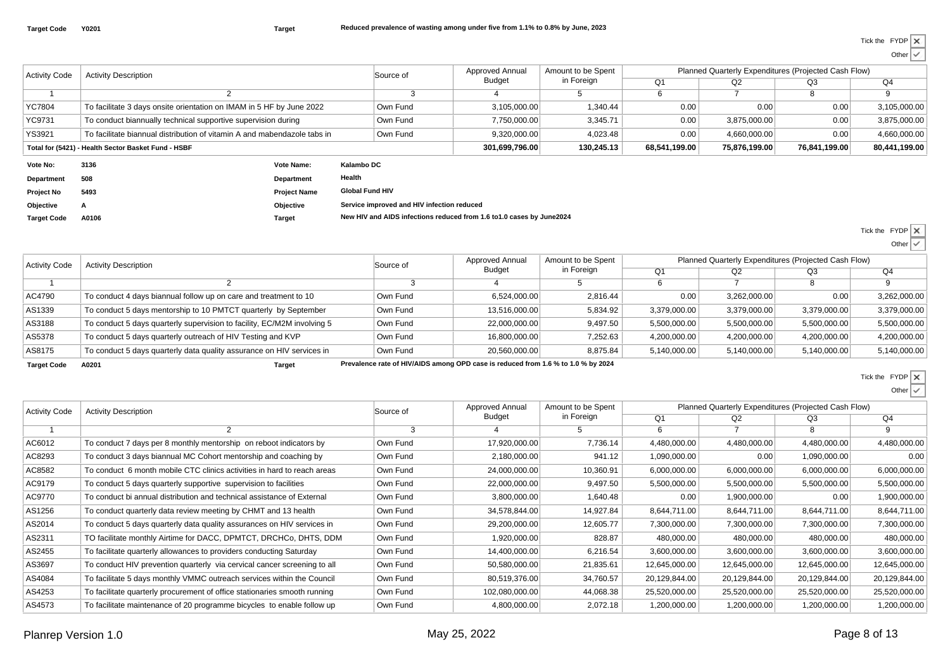Other

| <b>Activity Code</b> | <b>Activity Description</b>                                              |                     |                                            | Approved Annual<br>Source of |                                                                       | Amount to be Spent | Planned Quarterly Expenditures (Projected Cash Flow) |               |               |               |
|----------------------|--------------------------------------------------------------------------|---------------------|--------------------------------------------|------------------------------|-----------------------------------------------------------------------|--------------------|------------------------------------------------------|---------------|---------------|---------------|
|                      |                                                                          |                     |                                            |                              | Budget                                                                | in Foreign         | Q <sub>1</sub>                                       | Q2            | Q3            | Q4            |
|                      |                                                                          |                     |                                            | -5                           |                                                                       |                    | 6                                                    |               | 8             | 9             |
| YC7804               | To facilitate 3 days onsite orientation on IMAM in 5 HF by June 2022     |                     |                                            | Own Fund                     | 3,105,000.00                                                          | 1,340.44           | 0.00                                                 | 0.00          | 0.00          | 3,105,000.00  |
| YC9731               | To conduct biannually technical supportive supervision during            |                     |                                            | Own Fund                     | 7,750,000.00                                                          | 3,345.71           | 0.00                                                 | 3.875.000.00  | 0.00          | 3,875,000.00  |
| <b>YS3921</b>        | To facilitate biannual distribution of vitamin A and mabendazole tabs in |                     |                                            | Own Fund                     | 9,320,000.00                                                          | 4,023.48           | 0.00                                                 | 4,660,000.00  | 0.00          | 4,660,000.00  |
|                      | Total for (5421) - Health Sector Basket Fund - HSBF                      |                     |                                            |                              | 301,699,796.00                                                        | 130,245.13         | 68,541,199.00                                        | 75,876,199.00 | 76,841,199.00 | 80,441,199.00 |
| Vote No:             | 3136                                                                     | Vote Name:          | Kalambo DC                                 |                              |                                                                       |                    |                                                      |               |               |               |
| <b>Department</b>    | 508                                                                      | Department          | Health                                     |                              |                                                                       |                    |                                                      |               |               |               |
| <b>Project No</b>    | 5493                                                                     | <b>Project Name</b> | <b>Global Fund HIV</b>                     |                              |                                                                       |                    |                                                      |               |               |               |
| Objective            |                                                                          | Objective           | Service improved and HIV infection reduced |                              |                                                                       |                    |                                                      |               |               |               |
| <b>Target Code</b>   | A0106                                                                    | Target              |                                            |                              | New HIV and AIDS infections reduced from 1.6 to 1.0 cases by June2024 |                    |                                                      |               |               |               |

Tick the FYDP

Other

| <b>Activity Code</b> | <b>Activity Description</b>                                             | Source of | Approved Annual                                                                   | Amount to be Spent |              | Planned Quarterly Expenditures (Projected Cash Flow) |              |              |
|----------------------|-------------------------------------------------------------------------|-----------|-----------------------------------------------------------------------------------|--------------------|--------------|------------------------------------------------------|--------------|--------------|
|                      |                                                                         |           | Budget                                                                            | in Foreign         |              | Q2                                                   | Q3           | Q4           |
|                      |                                                                         |           |                                                                                   |                    |              |                                                      |              |              |
| AC4790               | To conduct 4 days biannual follow up on care and treatment to 10        | Own Fund  | 6.524.000.00                                                                      | 2.816.44           | 0.00         | 3.262.000.00                                         | 0.00         | 3,262,000.00 |
| AS1339               | To conduct 5 days mentorship to 10 PMTCT quarterly by September         | Own Fund  | 13,516,000.00                                                                     | 5,834.92           | 3,379,000.00 | 3,379,000.00                                         | 3,379,000.00 | 3,379,000.00 |
| AS3188               | To conduct 5 days quarterly supervision to facility, EC/M2M involving 5 | Own Fund  | 22.000.000.00                                                                     | 9.497.50           | 5.500.000.00 | 5,500,000.00                                         | 5,500,000.00 | 5,500,000.00 |
| AS5378               | To conduct 5 days quarterly outreach of HIV Testing and KVP             | Own Fund  | 16.800.000.00                                                                     | 7,252.63           | 4,200,000.00 | 4,200,000.00                                         | 4,200,000.00 | 4,200,000.00 |
| AS8175               | To conduct 5 days quarterly data quality assurance on HIV services in   | Own Fund  | 20.560.000.00                                                                     | 8.875.84           | 5.140.000.00 | 5,140,000.00                                         | 5,140,000.00 | 5,140,000.00 |
| <b>Target Code</b>   | A0201<br>Target                                                         |           | Prevalence rate of HIV/AIDS among OPD case is reduced from 1.6 % to 1.0 % by 2024 |                    |              |                                                      |              |              |

l x Tick the FYDP

Other

 $\cdot$ 

Activity Code $\overline{1}$ Activity Description2Source of3Amount to be Spentin Foreign5 $Q<sub>4</sub>$  $\overline{9}$ 88 9  $Q<sub>2</sub>$ 2 | Q3 6 6 7  $\overline{O1}$ Approved Annual Planned Quarterly Expenditures (Projected Cash Flow)Budget4AC6012To conduct 7 days per 8 monthly mentorship on reboot indicators by Dwn Fund 17,920,000.00 7,736.14 4,480,000.00 4,480,000.00 4,480,000.00 4,480,000.00 4,480,000.00 AC8293 To conduct 3 days biannual MC Cohort mentorship and coaching by Own Fund 2,180,000.00 941.12 1,090,000.00 0.00 1,090,000.00 0.00 AC8582To conduct 6 month mobile CTC clinics activities in hard to reach areas  $\vert$  Own Fund 24,000,000.00 10,360.91 6,000,000.00 6,000,000.00 6,000,000.00 6,000,000.00 6,000,000.00 6,000,000.00 6,000,000.00 6,000,000.00 6,000,00 AC9179To conduct 5 days quarterly supportive supervision to facilities  $\vert$  Own Fund 22,000,000.00 9,497.50 5,500,000.00 5,500,000.00 5,500,000.00 5,500,000.00 5,500,000.00 5,500,000.00 5,500,000.00 5,500,000.00 5,500,000.00 5,5 AC9770To conduct bi annual distribution and technical assistance of External Cwn Fund 3,800,000.00 1,640.48 0.00 1,900,000.00 0.00 1,900,000.00 1,900,000.00 AS1256To conduct quarterly data review meeting by CHMT and 13 health  $\vert$  Own Fund  $\vert$  34,578,844.00 14,927.84 8,644,711.00 8,644,711.00 8,644,711.00 8,644,711.00 8,644,711.00 AS2014To conduct 5 days quarterly data quality assurances on HIV services in  $\vert$  Own Fund 29,200,000.00 12,605.77 7,300,000.00 7,300,000.00 7,300,000.00 7,300,000.00 7,300,000.00 7,300,000.00 7,300,000.00 7,300,000.00 7,300,000 AS2311 TO facilitate monthly Airtime for DACC, DPMTCT, DRCHCo, DHTS, DDMM Own Fund 1,920,000.00 828.87 480,000.00 480,000.00 480,000.00 480,000.00 480,000.00 AS2455To facilitate quarterly allowances to providers conducting Saturday  $\sim$  0wn Fund 14,400,000.00 6,216.54 3,600,000.00 3,600,000.00 3,600,000.00 3,600,000.00 3,600,000.00 3,600,000.00 3,600,000.00 3,600,000.00 3,600,000.00 AS3697To conduct HIV prevention quarterly via cervical cancer screening to all Cwn Fund 50,580,000.00 21,835.61 12,645,000.00 12,645,000.00 12,645,000.00 12,645,000.00 12,645,000.00 12,645,000.00 12,645,000.00 12,645,000.00 12,6 AS4084To facilitate 5 days monthly VMMC outreach services within the Council Cwn Fund 80,519,376.00 34,760.57 20,129,844.00 20,129,844.00 20,129,844.00 20,129,844.00 20,129,844.00 AS4253To facilitate quarterly procurement of office stationaries smooth running Dwn Fund 102,080,000.00 44,068.38 45,520,000.00 25,520,000.00 25,520,000.00 25,520,000.00 25,520,000.00 25,520,000.00 AS4573To facilitate maintenance of 20 programme bicycles to enable follow up Own Fund 4,800,000.00 4,800,000.00 2,072.18 1,200,000.00 1,200,000.00 1,200,000.00 1,200,000.00 1,200,000.00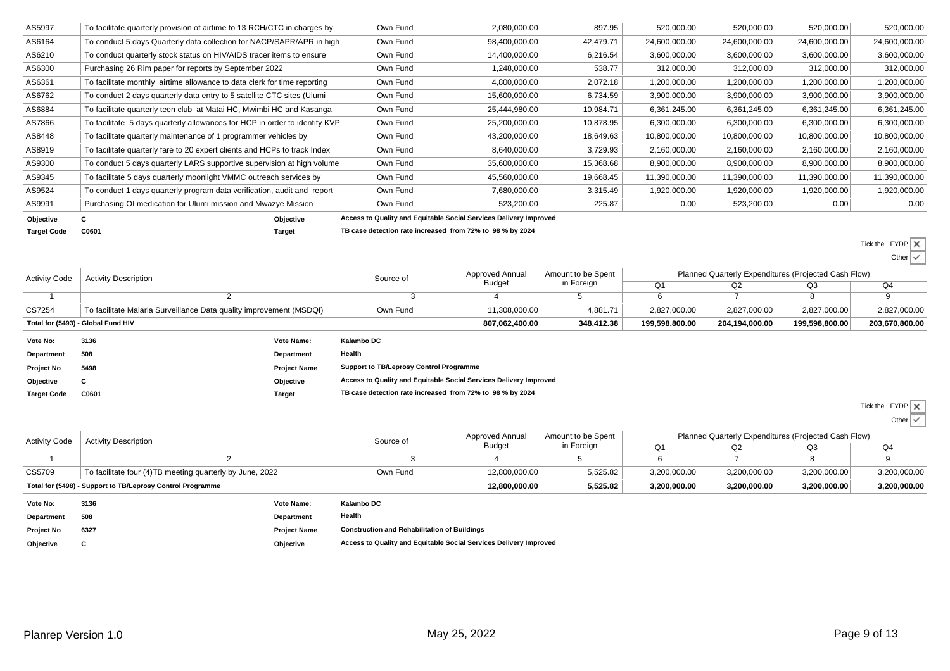| AS5997    | To facilitate quarterly provision of airtime to 13 RCH/CTC in charges by   | Own Fund | 2,080,000.00                                                      | 897.95    | 520,000.00    | 520,000.00    | 520,000.00    | 520,000.00    |
|-----------|----------------------------------------------------------------------------|----------|-------------------------------------------------------------------|-----------|---------------|---------------|---------------|---------------|
| AS6164    | To conduct 5 days Quarterly data collection for NACP/SAPR/APR in high      | Own Fund | 98,400,000.00                                                     | 42,479.71 | 24,600,000.00 | 24,600,000.00 | 24,600,000.00 | 24,600,000.00 |
| AS6210    | To conduct quarterly stock status on HIV/AIDS tracer items to ensure       | Own Fund | 14,400,000.00                                                     | 6,216.54  | 3,600,000.00  | 3,600,000.00  | 3,600,000.00  | 3,600,000.00  |
| AS6300    | Purchasing 26 Rim paper for reports by September 2022                      | Own Fund | 1,248,000.00                                                      | 538.77    | 312,000.00    | 312,000.00    | 312,000.00    | 312,000.00    |
| AS6361    | To facilitate monthly airtime allowance to data clerk for time reporting   | Own Fund | 4,800,000.00                                                      | 2,072.18  | 1,200,000.00  | 1,200,000.00  | 1,200,000.00  | 1,200,000.00  |
| AS6762    | To conduct 2 days quarterly data entry to 5 satellite CTC sites (Ulumi     | Own Fund | 15,600,000.00                                                     | 6,734.59  | 3,900,000.00  | 3,900,000.00  | 3,900,000.00  | 3,900,000.00  |
| AS6884    | To facilitate quarterly teen club at Matai HC, Mwimbi HC and Kasanga       | Own Fund | 25,444,980.00                                                     | 10,984.71 | 6,361,245.00  | 6,361,245.00  | 6,361,245.00  | 6,361,245.00  |
| AS7866    | To facilitate 5 days quarterly allowances for HCP in order to identify KVP | Own Fund | 25,200,000.00                                                     | 10,878.95 | 6,300,000.00  | 6,300,000.00  | 6,300,000.00  | 6,300,000.00  |
| AS8448    | To facilitate quarterly maintenance of 1 programmer vehicles by            | Own Fund | 43,200,000.00                                                     | 18,649.63 | 10,800,000.00 | 10,800,000.00 | 10,800,000.00 | 10,800,000.00 |
| AS8919    | To facilitate quarterly fare to 20 expert clients and HCPs to track Index  | Own Fund | 8,640,000.00                                                      | 3,729.93  | 2,160,000.00  | 2,160,000.00  | 2,160,000.00  | 2,160,000.00  |
| AS9300    | To conduct 5 days quarterly LARS supportive supervision at high volume     | Own Fund | 35,600,000.00                                                     | 15,368.68 | 8,900,000.00  | 8,900,000.00  | 8,900,000.00  | 8,900,000.00  |
| AS9345    | To facilitate 5 days quarterly moonlight VMMC outreach services by         | Own Fund | 45,560,000.00                                                     | 19,668.45 | 11,390,000.00 | 11,390,000.00 | 11,390,000.00 | 11,390,000.00 |
| AS9524    | To conduct 1 days quarterly program data verification, audit and report    | Own Fund | 7,680,000.00                                                      | 3,315.49  | 1,920,000.00  | 1,920,000.00  | 1,920,000.00  | 1,920,000.00  |
| AS9991    | Purchasing OI medication for Ulumi mission and Mwazye Mission              | Own Fund | 523,200.00                                                        | 225.87    | 0.00          | 523,200.00    | 0.00          | 0.00          |
| Objective | Objective                                                                  |          | Access to Quality and Equitable Social Services Delivery Improved |           |               |               |               |               |

**Target Code**

**C0601 Target TB case detection rate increased from 72% to 98 % by 2024**

Tick the FYDP

 Other $\checkmark$ 

| <b>Activity Code</b>               | <b>Activity Description</b>                                         |                     |                                                           | Source of                                                         | Approved Annual | Amount to be Spent |  | Planned Quarterly Expenditures (Projected Cash Flow)<br>Q <sub>1</sub><br>Q2<br>Q3<br>2,827,000.00<br>2,827,000.00<br>204,194,000.00 |                |              |
|------------------------------------|---------------------------------------------------------------------|---------------------|-----------------------------------------------------------|-------------------------------------------------------------------|-----------------|--------------------|--|--------------------------------------------------------------------------------------------------------------------------------------|----------------|--------------|
|                                    |                                                                     |                     |                                                           |                                                                   | Budget          | in Foreign         |  |                                                                                                                                      |                | Q4           |
|                                    |                                                                     |                     |                                                           |                                                                   |                 |                    |  |                                                                                                                                      |                |              |
| CS7254                             | To facilitate Malaria Surveillance Data quality improvement (MSDQI) |                     |                                                           | Own Fund                                                          | 11,308,000.00   | 4.881.71           |  |                                                                                                                                      | 2,827,000.00   | 2,827,000.00 |
| Total for (5493) - Global Fund HIV |                                                                     |                     |                                                           | 807,062,400.00                                                    | 348,412.38      | 199,598,800.00     |  | 199,598,800.00                                                                                                                       | 203,670,800.00 |              |
| Vote No:                           | 3136                                                                | Vote Name:          | Kalambo DC                                                |                                                                   |                 |                    |  |                                                                                                                                      |                |              |
| Department                         | 508                                                                 | Department          | Health                                                    |                                                                   |                 |                    |  |                                                                                                                                      |                |              |
| <b>Project No</b>                  | 5498                                                                | <b>Project Name</b> |                                                           | <b>Support to TB/Leprosy Control Programme</b>                    |                 |                    |  |                                                                                                                                      |                |              |
| Objective                          | u                                                                   | Objective           |                                                           | Access to Quality and Equitable Social Services Delivery Improved |                 |                    |  |                                                                                                                                      |                |              |
| <b>Target Code</b>                 | C0601                                                               | Target              | TB case detection rate increased from 72% to 98 % by 2024 |                                                                   |                 |                    |  |                                                                                                                                      |                |              |

Tick the FYDP

**Other**  $\checkmark$ 

| Activity Code     | <b>Activity Description</b>                                |                     |            | Source of                                           | Approved Annual | Amount to be Spent |              | Planned Quarterly Expenditures (Projected Cash Flow) |              |              |
|-------------------|------------------------------------------------------------|---------------------|------------|-----------------------------------------------------|-----------------|--------------------|--------------|------------------------------------------------------|--------------|--------------|
|                   |                                                            |                     |            |                                                     | Budget          | in Foreign         | Q1           | Q2                                                   | Q3           | Q4           |
|                   |                                                            |                     |            |                                                     |                 |                    |              |                                                      |              |              |
| CS5709            | To facilitate four (4)TB meeting quarterly by June, 2022   |                     |            | Own Fund                                            | 12,800,000.00   | 5,525.82           | 3,200,000.00 | 3,200,000.00                                         | 3,200,000.00 | 3,200,000.00 |
|                   | Total for (5498) - Support to TB/Leprosy Control Programme |                     |            |                                                     | 12,800,000.00   | 5,525.82           | 3,200,000.00 | 3,200,000.00                                         | 3,200,000.00 | 3,200,000.00 |
| Vote No:          | 3136                                                       | Vote Name:          | Kalambo DC |                                                     |                 |                    |              |                                                      |              |              |
| Department        | 508                                                        | <b>Department</b>   | Health     |                                                     |                 |                    |              |                                                      |              |              |
| <b>Project No</b> | 6327                                                       | <b>Project Name</b> |            | <b>Construction and Rehabilitation of Buildings</b> |                 |                    |              |                                                      |              |              |

**Objective<sup>C</sup>**

**Objective Access to Quality and Equitable Social Services Delivery Improved**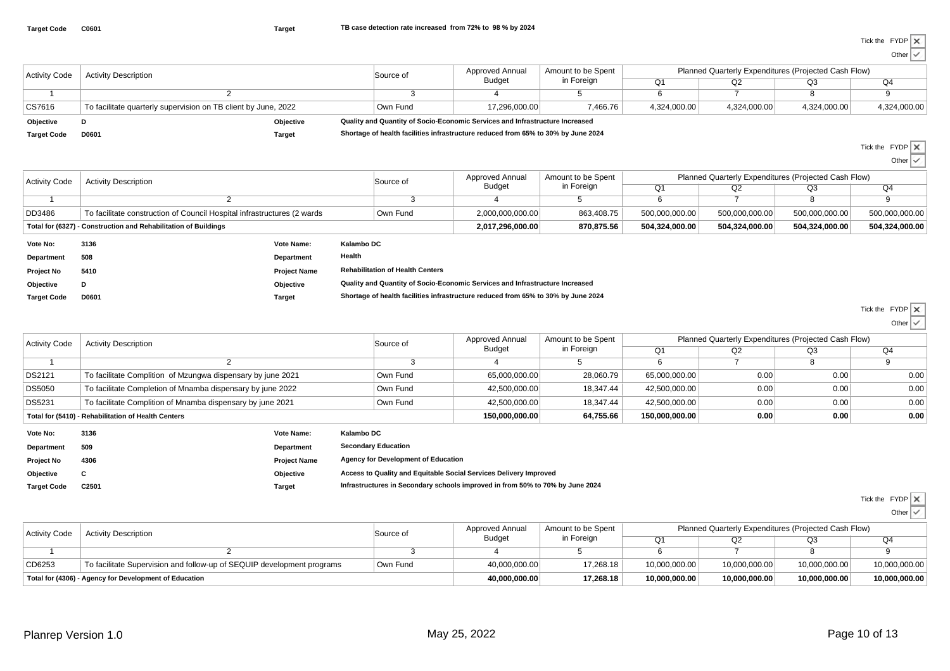Other

| <b>Activity Code</b> | <b>Activity Description</b>                                    |           | Source of                                                                         | Approved Annual | Amount to be Spent | Planned Quarterly Expenditures (Projected Cash Flow) |              |              |              |
|----------------------|----------------------------------------------------------------|-----------|-----------------------------------------------------------------------------------|-----------------|--------------------|------------------------------------------------------|--------------|--------------|--------------|
|                      |                                                                |           |                                                                                   | <b>Budget</b>   | in Foreian         | Q                                                    | Q2           | Q3           | Q4           |
|                      |                                                                |           |                                                                                   |                 |                    |                                                      |              |              |              |
| CS7616               | To facilitate quarterly supervision on TB client by June, 2022 |           | Own Fund                                                                          | 17.296.000.00   | 7,466.76           | 4,324,000.00                                         | 4.324.000.00 | 4,324,000.00 | 4,324,000.00 |
| Objective            |                                                                | Objective | Quality and Quantity of Socio-Economic Services and Infrastructure Increased      |                 |                    |                                                      |              |              |              |
| <b>Target Code</b>   | D0601                                                          | Target    | Shortage of health facilities infrastructure reduced from 65% to 30% by June 2024 |                 |                    |                                                      |              |              |              |

**D0601 Target Shortage of health facilities infrastructure reduced from 65% to 30% by June 2024**

Tick the FYDP

Other

 $\overline{\phantom{a}}$ 

|                      |                                                                          |                     |                                                                                   |                  |                                  |                                                      |                |                | $U$ ulul $V$   |
|----------------------|--------------------------------------------------------------------------|---------------------|-----------------------------------------------------------------------------------|------------------|----------------------------------|------------------------------------------------------|----------------|----------------|----------------|
| <b>Activity Code</b> | <b>Activity Description</b>                                              |                     | Source of                                                                         | Approved Annual  | Amount to be Spent<br>in Foreign | Planned Quarterly Expenditures (Projected Cash Flow) |                |                |                |
|                      |                                                                          |                     |                                                                                   | Budget           |                                  | Q <sub>1</sub>                                       | Q2             | Q3             | Q4             |
|                      |                                                                          |                     |                                                                                   |                  |                                  | 6                                                    |                |                |                |
| <b>DD3486</b>        | To facilitate construction of Council Hospital infrastructures (2 wards) |                     | Own Fund                                                                          | 2,000,000,000.00 | 863,408.75                       | 500,000,000.00                                       | 500,000,000.00 | 500,000,000.00 | 500,000,000.00 |
|                      | Total for (6327) - Construction and Rehabilitation of Buildings          |                     |                                                                                   | 2,017,296,000.00 | 870,875.56                       | 504,324,000.00                                       | 504,324,000.00 | 504,324,000.00 | 504,324,000.00 |
| Vote No:             | 3136                                                                     | Vote Name:          | Kalambo DC                                                                        |                  |                                  |                                                      |                |                |                |
| Department           | 508                                                                      | Department          | Health                                                                            |                  |                                  |                                                      |                |                |                |
| <b>Project No</b>    | 5410                                                                     | <b>Project Name</b> | <b>Rehabilitation of Health Centers</b>                                           |                  |                                  |                                                      |                |                |                |
| Objective            | D                                                                        | Objective           | Quality and Quantity of Socio-Economic Services and Infrastructure Increased      |                  |                                  |                                                      |                |                |                |
| <b>Target Code</b>   | D0601                                                                    | Target              | Shortage of health facilities infrastructure reduced from 65% to 30% by June 2024 |                  |                                  |                                                      |                |                |                |

Tick the FYDP

| <b>Activity Code</b> | <b>Activity Description</b>                                 | Source of | Approved Annual | Amount to be Spent |                | Planned Quarterly Expenditures (Projected Cash Flow) |      |      |
|----------------------|-------------------------------------------------------------|-----------|-----------------|--------------------|----------------|------------------------------------------------------|------|------|
|                      |                                                             |           | Budget          | in Foreign         |                | Q2                                                   | Q3   | Q4   |
|                      |                                                             |           |                 |                    |                |                                                      |      |      |
| <b>DS2121</b>        | To facilitate Complition of Mzungwa dispensary by june 2021 | Own Fund  | 65,000,000.00   | 28,060.79          | 65,000,000.00  | 0.00                                                 | 0.00 | 0.00 |
| <b>DS5050</b>        | To facilitate Completion of Mnamba dispensary by june 2022  | Own Fund  | 42.500.000.00   | 18.347.44          | 42,500,000.00  | 0.00                                                 | 0.00 | 0.00 |
| DS5231               | To facilitate Complition of Mnamba dispensary by june 2021  | Own Fund  | 42.500.000.00   | 18.347.44          | 42,500,000.00  | 0.00                                                 | 0.00 | 0.00 |
|                      | Total for (5410) - Rehabilitation of Health Centers         |           | 150.000.000.00  | 64,755.66          | 150.000.000.00 | 0.00                                                 | 0.00 | 0.00 |
| Vote No:             | Kalambo DC<br>3136<br>Vote Name:                            |           |                 |                    |                |                                                      |      |      |

| Vote No:           | 3136              | Vote Name:          | Kalambo DC                                                                    |  |
|--------------------|-------------------|---------------------|-------------------------------------------------------------------------------|--|
| Department         | 509               | Department          | <b>Secondary Education</b>                                                    |  |
| <b>Project No</b>  | 4306              | <b>Project Name</b> | <b>Agency for Development of Education</b>                                    |  |
| Objective          |                   | Objective           | Access to Quality and Equitable Social Services Delivery Improved             |  |
| <b>Target Code</b> | C <sub>2501</sub> | <b>Target</b>       | Infrastructures in Secondary schools improved in from 50% to 70% by June 2024 |  |
|                    |                   |                     |                                                                               |  |

Tick the FYDP

| <b>Activity Code</b>                                   | <b>Activity Description</b>                                            | Source of | Approved Annual<br><b>Budget</b> | Amount to be Spent | Planned Quarterly Expenditures (Projected Cash Flow) |               |               |               |  |
|--------------------------------------------------------|------------------------------------------------------------------------|-----------|----------------------------------|--------------------|------------------------------------------------------|---------------|---------------|---------------|--|
|                                                        |                                                                        |           |                                  | in Foreign         | Ω1                                                   |               | OЗ            | Q4            |  |
|                                                        |                                                                        |           |                                  |                    |                                                      |               |               |               |  |
| CD6253                                                 | To facilitate Supervision and follow-up of SEQUIP development programs | Own Fund  | 40,000,000.00                    | 17,268.18          | 10,000,000.00                                        | 10,000,000.00 | 10,000,000.00 | 10,000,000.00 |  |
| Total for (4306) - Agency for Development of Education |                                                                        |           | 40,000,000.00                    | 17.268.18          | 10,000,000.00                                        | 10,000,000.00 | 10.000.000.00 | 10,000,000.00 |  |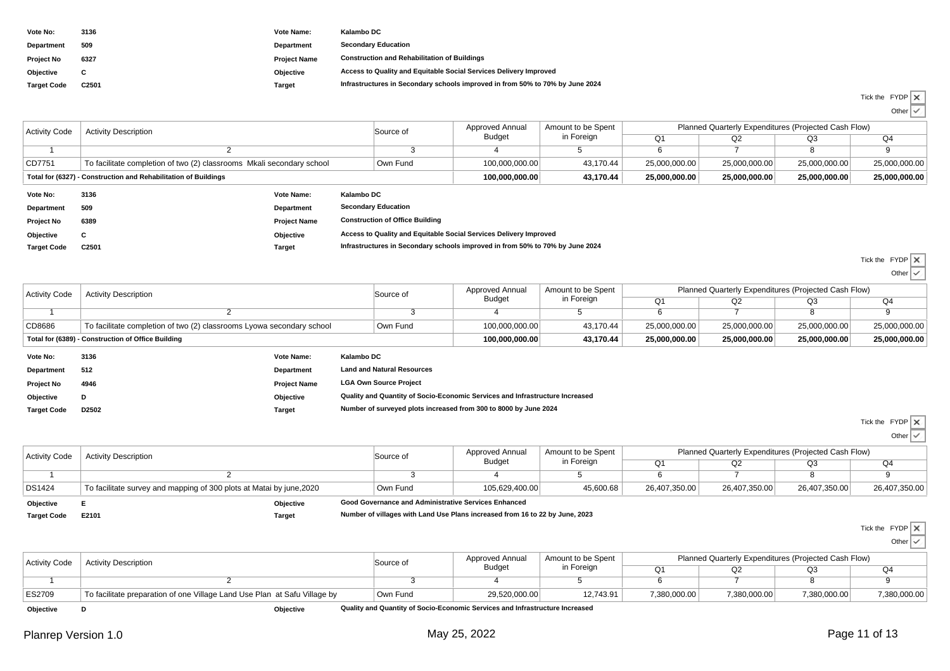| Vote No:           | 3136  | Vote Name:          | Kalambo DC                                                                    |
|--------------------|-------|---------------------|-------------------------------------------------------------------------------|
| Department         | 509   | Department          | <b>Secondary Education</b>                                                    |
| <b>Project No</b>  | 6327  | <b>Project Name</b> | <b>Construction and Rehabilitation of Buildings</b>                           |
| Objective          |       | Objective           | Access to Quality and Equitable Social Services Delivery Improved             |
| <b>Target Code</b> | C2501 | <b>Target</b>       | Infrastructures in Secondary schools improved in from 50% to 70% by June 2024 |

| Tick the FYDP X |  |
|-----------------|--|
|                 |  |

Other

| <b>Activity Code</b>                                            | <b>Activity Description</b>                                           |                     |                                                                               | Source of                              | Approved Annual | Amount to be Spent | Planned Quarterly Expenditures (Projected Cash Flow) |               |                |                        |  |
|-----------------------------------------------------------------|-----------------------------------------------------------------------|---------------------|-------------------------------------------------------------------------------|----------------------------------------|-----------------|--------------------|------------------------------------------------------|---------------|----------------|------------------------|--|
|                                                                 |                                                                       |                     |                                                                               | Budget                                 | in Foreign      | Q <sub>1</sub>     | Q2                                                   | Q3            | Q <sub>4</sub> |                        |  |
|                                                                 |                                                                       |                     |                                                                               |                                        |                 |                    |                                                      |               |                |                        |  |
| CD7751                                                          | To facilitate completion of two (2) classrooms Mkali secondary school |                     |                                                                               | Own Fund                               | 100,000,000.00  | 43,170.44          | 25,000,000.00                                        | 25,000,000.00 | 25,000,000.00  | 25,000,000.00          |  |
| Total for (6327) - Construction and Rehabilitation of Buildings |                                                                       |                     |                                                                               |                                        | 100,000,000.00  | 43,170.44          | 25,000,000.00                                        | 25,000,000.00 | 25,000,000.00  | 25,000,000.00          |  |
| Vote No:                                                        | 3136                                                                  | <b>Vote Name:</b>   | Kalambo DC                                                                    |                                        |                 |                    |                                                      |               |                |                        |  |
| Department                                                      | 509                                                                   | <b>Department</b>   |                                                                               | <b>Secondary Education</b>             |                 |                    |                                                      |               |                |                        |  |
| <b>Project No</b>                                               | 6389                                                                  | <b>Project Name</b> |                                                                               | <b>Construction of Office Building</b> |                 |                    |                                                      |               |                |                        |  |
| Objective                                                       | С                                                                     | Objective           | Access to Quality and Equitable Social Services Delivery Improved             |                                        |                 |                    |                                                      |               |                |                        |  |
| <b>Target Code</b>                                              | C2501                                                                 | Target              | Infrastructures in Secondary schools improved in from 50% to 70% by June 2024 |                                        |                 |                    |                                                      |               |                |                        |  |
|                                                                 |                                                                       |                     |                                                                               |                                        |                 |                    |                                                      |               |                | $T(1,0)$ respectively. |  |

Tick the FYDP

| Other |  |
|-------|--|
|-------|--|

| <b>Activity Code</b>                               | <b>Activity Description</b>                                           |                     |                                                                              | Source of                         | Approved Annual | Amount to be Spent | Planned Quarterly Expenditures (Projected Cash Flow) |               |               |               |
|----------------------------------------------------|-----------------------------------------------------------------------|---------------------|------------------------------------------------------------------------------|-----------------------------------|-----------------|--------------------|------------------------------------------------------|---------------|---------------|---------------|
|                                                    |                                                                       |                     |                                                                              |                                   | Budget          | in Foreign         | Q <sub>1</sub>                                       | Q2            | Q3            | Q4            |
|                                                    |                                                                       |                     |                                                                              |                                   |                 |                    |                                                      |               |               |               |
| CD8686                                             | To facilitate completion of two (2) classrooms Lyowa secondary school |                     |                                                                              | Own Fund                          | 100,000,000.00  | 43.170.44          | 25,000,000.00                                        | 25,000,000.00 | 25,000,000.00 | 25,000,000.00 |
| Total for (6389) - Construction of Office Building |                                                                       |                     |                                                                              | 100,000,000.00                    | 43.170.44       | 25,000,000.00      | 25,000,000.00                                        | 25,000,000.00 | 25,000,000.00 |               |
| Vote No:                                           | 3136                                                                  | Vote Name:          | Kalambo DC                                                                   |                                   |                 |                    |                                                      |               |               |               |
| Department                                         | 512                                                                   | Department          |                                                                              | <b>Land and Natural Resources</b> |                 |                    |                                                      |               |               |               |
| <b>Project No</b>                                  | 4946                                                                  | <b>Project Name</b> | <b>LGA Own Source Project</b>                                                |                                   |                 |                    |                                                      |               |               |               |
| Objective                                          |                                                                       | Objective           | Quality and Quantity of Socio-Economic Services and Infrastructure Increased |                                   |                 |                    |                                                      |               |               |               |
| <b>Target Code</b>                                 | D2502                                                                 | Target              | Number of surveyed plots increased from 300 to 8000 by June 2024             |                                   |                 |                    |                                                      |               |               |               |

Tick the FYDP Other

| <b>Activity Code</b> | <b>Activity Description</b>                                          | Source of                                            | Approved Annual<br><b>Budget</b> | Amount to be Spent | Planned Quarterly Expenditures (Projected Cash Flow) |               |               |               |
|----------------------|----------------------------------------------------------------------|------------------------------------------------------|----------------------------------|--------------------|------------------------------------------------------|---------------|---------------|---------------|
|                      |                                                                      |                                                      |                                  | in Foreign         |                                                      | Q2            | Q3            | Q4            |
|                      |                                                                      |                                                      |                                  |                    |                                                      |               |               |               |
| <b>DS1424</b>        | To facilitate survey and mapping of 300 plots at Matai by june, 2020 | Own Fund                                             | 105.629.400.00                   | 45,600.68          | 26,407,350.00                                        | 26,407,350.00 | 26,407,350.00 | 26,407,350.00 |
| Objective            | Objective                                                            | Good Governance and Administrative Services Enhanced |                                  |                    |                                                      |               |               |               |

**Target Code**

**E2101 Target Number of villages with Land Use Plans increased from 16 to 22 by June, 2023**

Tick the FYDP

 Other $\checkmark$ 

| <b>Activity Code</b> | <b>Activity Description</b>                                               | Source of | Approved Annual<br><b>Budget</b>                                             | Amount to be Spent<br>in Foreign | Planned Quarterly Expenditures (Projected Cash Flow) |              |              |              |
|----------------------|---------------------------------------------------------------------------|-----------|------------------------------------------------------------------------------|----------------------------------|------------------------------------------------------|--------------|--------------|--------------|
|                      |                                                                           |           |                                                                              |                                  |                                                      | ገ?           | Q3           |              |
|                      |                                                                           |           |                                                                              |                                  |                                                      |              |              |              |
| <b>ES2709</b>        | To facilitate preparation of one Village Land Use Plan at Safu Village by | Own Fund  | 29,520,000.00                                                                | 12,743.91                        | 7,380,000.00                                         | 7,380,000.00 | 7,380,000.00 | 7,380,000.00 |
| Objective            | Objective                                                                 |           | Quality and Quantity of Socio-Economic Services and Infrastructure Increased |                                  |                                                      |              |              |              |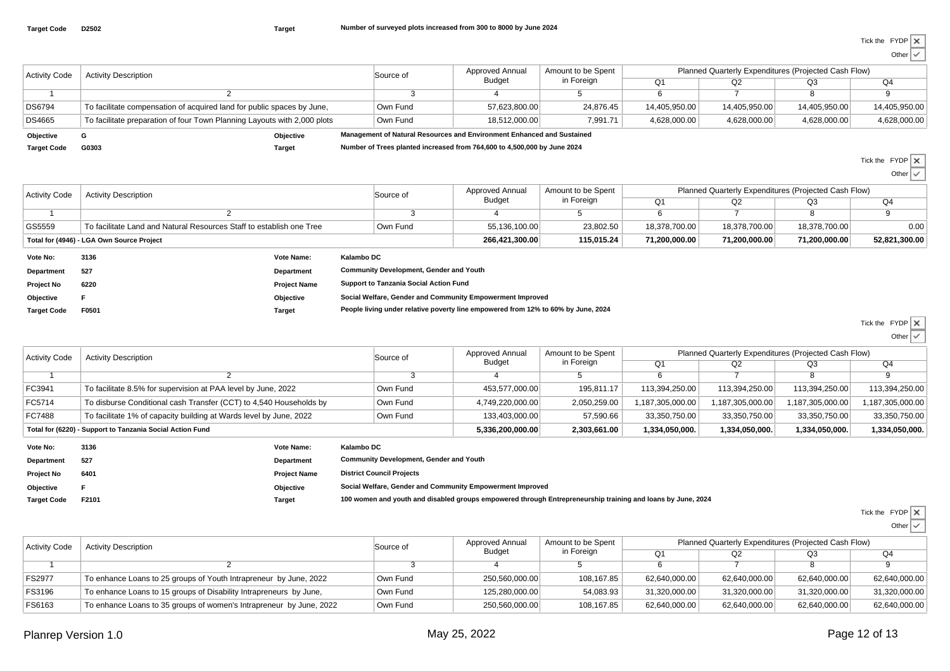| <b>Activity Code</b> | <b>Activity Description</b>                                              |           | Source of | Approved Annual                                                          | Amount to be Spent | Planned Quarterly Expenditures (Projected Cash Flow) |               |               |               |
|----------------------|--------------------------------------------------------------------------|-----------|-----------|--------------------------------------------------------------------------|--------------------|------------------------------------------------------|---------------|---------------|---------------|
|                      |                                                                          |           |           | <b>Budget</b>                                                            | in Foreign         | O <sub>1</sub>                                       | Q2            | Q3            | Q4            |
|                      |                                                                          |           |           |                                                                          |                    |                                                      |               |               |               |
| DS6794               | To facilitate compensation of acquired land for public spaces by June,   |           | Own Fund  | 57.623.800.00                                                            | 24.876.45          | 14,405,950.00                                        | 14,405,950.00 | 14.405.950.00 | 14,405,950.00 |
| DS4665               | To facilitate preparation of four Town Planning Layouts with 2,000 plots |           | Own Fund  | 18.512.000.00                                                            | 7,991.71           | 4,628,000.00                                         | 4.628.000.00  | 4,628,000.00  | 4,628,000.00  |
| Objective            |                                                                          | Objective |           | Management of Natural Resources and Environment Enhanced and Sustained   |                    |                                                      |               |               |               |
| <b>Target Code</b>   | G0303                                                                    | Target    |           | Number of Trees planted increased from 764,600 to 4,500,000 by June 2024 |                    |                                                      |               |               |               |

Tick the FYDPOther

| <b>Activity Code</b>                                                           | <b>Activity Description</b> |                     | Source of                                                                         | <b>Approved Annual</b>                         | Amount to be Spent<br>in Foreign | Planned Quarterly Expenditures (Projected Cash Flow) |               |               |               |  |
|--------------------------------------------------------------------------------|-----------------------------|---------------------|-----------------------------------------------------------------------------------|------------------------------------------------|----------------------------------|------------------------------------------------------|---------------|---------------|---------------|--|
|                                                                                |                             |                     |                                                                                   | Budget                                         |                                  | Q1                                                   | Q2            | Q3            | Q4            |  |
|                                                                                |                             |                     |                                                                                   |                                                |                                  | 6                                                    |               |               |               |  |
| GS5559<br>To facilitate Land and Natural Resources Staff to establish one Tree |                             |                     | Own Fund                                                                          | 55,136,100.00                                  | 23,802.50                        | 18,378,700.00                                        | 18,378,700.00 | 18,378,700.00 | 0.00          |  |
| Total for (4946) - LGA Own Source Project                                      |                             |                     |                                                                                   | 266,421,300.00                                 | 115,015.24                       | 71,200,000.00                                        | 71,200,000.00 | 71,200,000.00 | 52,821,300.00 |  |
| Vote No:                                                                       | 3136                        | <b>Vote Name:</b>   | Kalambo DC                                                                        |                                                |                                  |                                                      |               |               |               |  |
| Department                                                                     | 527                         | Department          |                                                                                   | <b>Community Development, Gender and Youth</b> |                                  |                                                      |               |               |               |  |
| <b>Project No</b>                                                              | 6220                        | <b>Project Name</b> | Support to Tanzania Social Action Fund                                            |                                                |                                  |                                                      |               |               |               |  |
| Objective                                                                      |                             | Objective           | Social Welfare, Gender and Community Empowerment Improved                         |                                                |                                  |                                                      |               |               |               |  |
| <b>Target Code</b>                                                             | F0501                       | Target              | People living under relative poverty line empowered from 12% to 60% by June, 2024 |                                                |                                  |                                                      |               |               |               |  |
|                                                                                |                             |                     |                                                                                   |                                                |                                  |                                                      |               |               |               |  |

| Tick the FYDP |  |
|---------------|--|
|               |  |

Other  $\vert \checkmark$ 

| <b>Activity Code</b> | <b>Activity Description</b>                                        | Source of | Approved Annual  | Amount to be Spent | Planned Quarterly Expenditures (Projected Cash Flow) |                  |                  |                  |
|----------------------|--------------------------------------------------------------------|-----------|------------------|--------------------|------------------------------------------------------|------------------|------------------|------------------|
|                      |                                                                    |           | Budget           | in Foreign         | Q <sub>1</sub>                                       | Q2               | Q3               | Q4               |
|                      |                                                                    |           |                  |                    |                                                      |                  |                  |                  |
| FC3941               | To facilitate 8.5% for supervision at PAA level by June, 2022      | Own Fund  | 453,577,000.00   | 195.811.17         | 113,394,250.00                                       | 113,394,250.00   | 113,394,250.00   | 113,394,250.00   |
| FC5714               | To disburse Conditional cash Transfer (CCT) to 4,540 Households by | Own Fund  | 4,749,220,000.00 | 2,050,259.00       | 1,187,305,000.00                                     | 1,187,305,000.00 | 1,187,305,000.00 | 1,187,305,000.00 |
| FC7488               | To facilitate 1% of capacity building at Wards level by June, 2022 | Own Fund  | 133,403,000.00   | 57,590.66          | 33,350,750.00                                        | 33,350,750.00    | 33,350,750.00    | 33,350,750.00    |
|                      | Total for (6220) - Support to Tanzania Social Action Fund          |           | 5,336,200,000.00 | 2,303,661.00       | 1,334,050,000.                                       | 1,334,050,000.   | 1,334,050,000.   | 1,334,050,000.   |
|                      |                                                                    |           |                  |                    |                                                      |                  |                  |                  |

| Vote No:           | 3136  | <b>Vote Name:</b>   | Kalambo DC                                                                                                  |
|--------------------|-------|---------------------|-------------------------------------------------------------------------------------------------------------|
| Department         | 527   | <b>Department</b>   | <b>Community Development, Gender and Youth</b>                                                              |
| Project No         | 6401  | <b>Project Name</b> | <b>District Council Projects</b>                                                                            |
| Objective          |       | Objective           | Social Welfare, Gender and Community Empowerment Improved                                                   |
| <b>Target Code</b> | F2101 | <b>Target</b>       | 100 women and youth and disabled groups empowered through Entrepreneurship training and loans by June, 2024 |

| Tick the FYDP |  |
|---------------|--|
|               |  |

| <b>Activity Code</b> | <b>Activity Description</b>                                         | Source of | Approved Annual<br>Budget | Amount to be Spent<br>in Foreign | Planned Quarterly Expenditures (Projected Cash Flow) |               |               |               |  |
|----------------------|---------------------------------------------------------------------|-----------|---------------------------|----------------------------------|------------------------------------------------------|---------------|---------------|---------------|--|
|                      |                                                                     |           |                           |                                  |                                                      |               | OЗ            | Q4            |  |
|                      |                                                                     |           |                           |                                  |                                                      |               |               |               |  |
| FS2977               | To enhance Loans to 25 groups of Youth Intrapreneur by June, 2022   | Own Fund  | 250,560,000.00            | 108,167.85                       | 62,640,000.00                                        | 62,640,000.00 | 62,640,000.00 | 62,640,000.00 |  |
| FS3196               | To enhance Loans to 15 groups of Disability Intrapreneurs by June,  | Own Fund  | 125,280,000.00            | 54,083.93                        | 31,320,000.00                                        | 31,320,000.00 | 31,320,000.00 | 31,320,000.00 |  |
| FS6163               | To enhance Loans to 35 groups of women's Intrapreneur by June, 2022 | Own Fund  | 250,560,000.00            | 108,167.85                       | 62,640,000.00                                        | 62,640,000.00 | 62,640,000.00 | 62,640,000.00 |  |